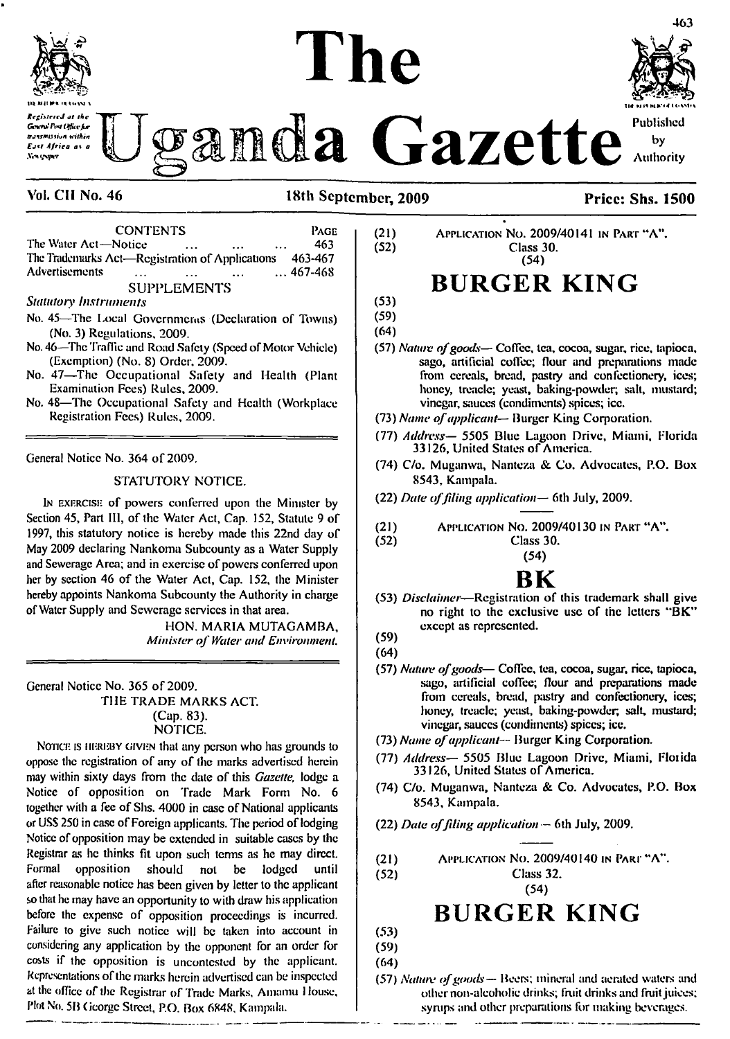

*KcgittercJ at the Gtncrairi\*V()ffin'fur trjwtuiun within £att Africa* **ot** *a* .V«-h *<ypi'r*

# **The**



**Authority**

|                                                         | <b>CONTENTS</b>      |                    |                      |          | PAGE            |
|---------------------------------------------------------|----------------------|--------------------|----------------------|----------|-----------------|
| The Water Act—Notice                                    |                      |                    | $\sim$ $\sim$ $\sim$ | $\cdots$ | 463.            |
| The Trademarks Act—Registration of Applications 463-467 |                      |                    |                      |          |                 |
| Advertisements                                          | $\sim$ $\sim$ $\sim$ |                    | $\ddotsc$            |          | $\dots$ 467-468 |
|                                                         |                      | <b>SUPPLEMENTS</b> |                      |          |                 |

*Statutory Instruments*

- **No. 45—The Local Governments (Declaration of Towns) (No. 3) Regulations, 2009.**
- **No. 46—The Traffic and Road Safely (Speed ofMotor Vehicle) (Exemption) (No. 8) Order, 2009.**
- **No. 47—The Occupational Safety and Health (Plant Examination Fees) Rules, 2009.**
- **No. 48—The Occupational Safety and Health (Workplace Registration Fees) Rules, 2009.**

**General Notice No. 364 of 2009,**

#### **STATUTORY NOTICE.**

<sup>I</sup><sup>n</sup> exercise **of powers conferred upon the Minister by Section 45, Part III, of the Water Act, Cap. 152, Statute 9 of 1997, this statutory notice is hereby made this 22nd day of May 2009 declaring Nankoma Subcounty as a Water Supply and Sewerage Area; and in exercise ofpowers conferred upon her by section 46 of lhe Water Act, Cap. 152, the Minister hereby appoints Nankoma Subcounty the Authority in charge ofWater Supply and Sewerage services in that area.**

> **HON. MARIA MUTAGAMBA,** *Minister ofWater and Environment.*

**General Notice No. 365 of 2009.**

**THE TRADE MARKS ACT. (Cap. 83). NOTICE.**

Notice is hereby given **that any person who has grounds to oppose the registration of any of the marks advertised herein may within sixty days from the dale of this** *Gazette,* **lodge a Notice of opposition on Trade Mark Form No. 6 together with a fee of Shs. 4000 in case ofNational applicants or USS 250 in case ofForeign applicants. The period oflodging Notice of opposition may be extended in suitable cases by the Registrar as he thinks fit upon such terms as he may direct. Formal opposition should not be lodged until after reasonable notice has been given by letter to the applicant so that he may have an opportunity to with draw his application before the expense of opposition proceedings is incurred. Failure to give such notice will be taken into account in considering any application by lhe opponent for an order for costs if the opposition is uncontcstud by the applicant. Representations ofthe marks herein advertised can be inspected at the office** *of* **the Registrar of Trade Marks, Amamu <sup>1</sup> louse. Plot No. 5B George Street, P.O. Box 6848. Kampala.**

**(21)** Application No. **2009/40141** in Part **"A". (52) Class 30. (54)**

## **BURGER KING**

**(53) (59)**

**(64)**

- **(57)** *Nature ofgoods—* **Coffee, tea, cocoa, sugar, rice, tapioca, sago, artificial coffee; flour and preparations made from cereals, bread, pastry and confectionery, ices; honey, treacle; yeast, baking-powder; salt, mustard; vinegar, sauces (condiments) spices; ice.**
- **(73)** *Name ofapplicant—* **Burger King Corporation.**
- **(77)** *Address—* **5505 Blue Lagoon Drive, Miami, Florida 33126, United States of America.**
- **(74) C/o. Muganwa, Nanteza & Co. Advocates, P.O. Box 8543, Kampala.**
- **(22)** *Date offding application—* **6th July, 2009.**
- **(21)** Application No. **2009/40130** in Part **"A".**
	- **(52) Class 30.**
	- **(54)**

## **BK**

- **(53)** *Disclaimer***—Registration of this trademark shall give no right to the exclusive use of the letters "BK" except as represented.**
- **(59)**

**(64)**

- **(57)** *Nature ofgoods***— Coffee, tea, cocoa, sugar, rice, tapioca, sago, artificial coffee; flour and preparations made from cereals, bread, pastry and confectionery, ices; honey, treacle; yeast, baking-powder, salt, mustard; vinegar, sauces (condiments) spices; ice.**
- **(73)** *Name ofapplicant—* **Burger King Corporation.**
- **(77)** *Address—* **5505 Blue Lagoon Drive, Miami, Florida 33126, United States of America.**
- **(74) C/o. Muganwa, Nanteza & Co. Advocates, P.O. Box 8543, Kampala.**
- **(22)** *Date offding application —* **6th July, 2009.**
- **(21)** Application No. **2009/40140** in Part <sup>m</sup>A".
- **(52) Class 32.**

**(54)**

## **BURGER KING**

**(53) (59)**

**(64)**

**(57)** *Nature ofgoods—* **Beers; mineral and aerated waters and other non-alcoholic drinks; fruit drinks and fruitjuices; syrups and other preparations for making beverages.**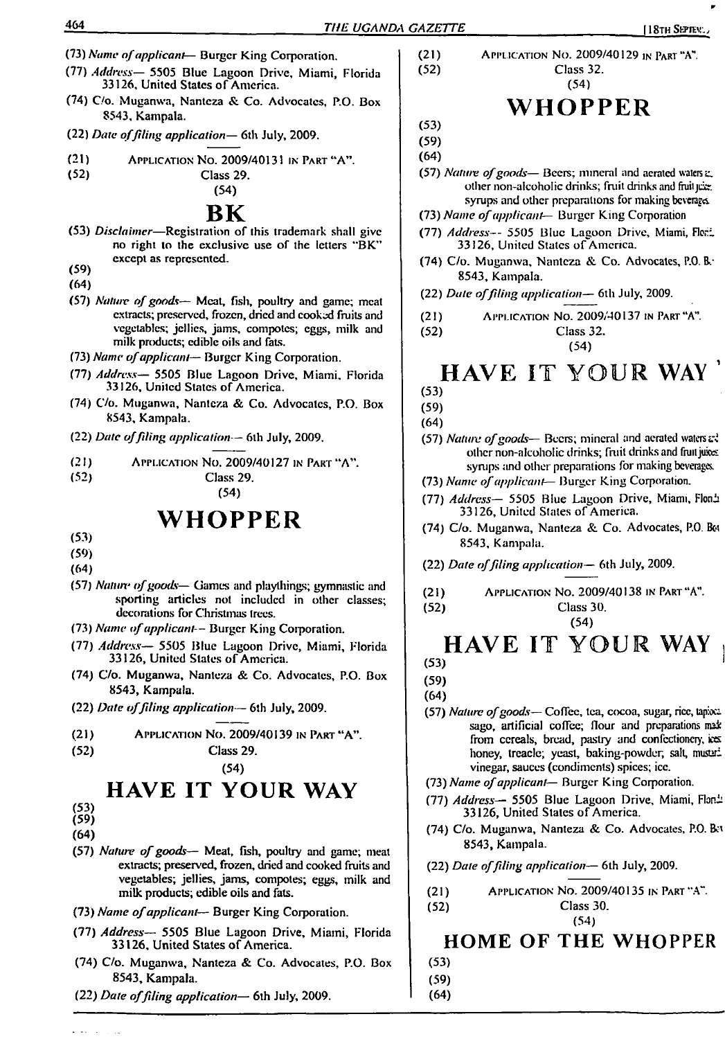- **(73)** *Name ofapplicant***— Burger King Corporation.**
- **(77)** *Address—* **5505 Blue Lagoon Drive, Miami, Florida 33126, United States of America.**
- **(74) C/o. Muganwa, Nanteza & Co. Advocates, P.O. Box 8543, Kampala.**
- **(22)** *Date offiling application—* **6th July, 2009.**
- **(21)** Application **No. 2009/40131** inPart"A". **(52) Class 29.**
- 

#### **(54) BK**

- **(53)** *Disclaimer—***Registration of this trademark shall give no right to the exclusive use of the letters \*'BK" except as represented.**
- **(59)**
- **(64)**
- **(57)** *Nature ofgoods—* **Meat, fish, poultry and game; meat extracts; preserved, frozen, dried and cooked fruits and vegetables; jellies, jams, compotes; eggs, milk and**  $m$ ilk products; edible oils and fats.
- **(73)** *Name ofapplicant—* **Burger King Corporation.**
- **(77)** *Address—* **5505 Blue Lagoon Drive, Miami, Florida 33126, United States of America.**
- **(74) C/o. Muganwa, Nanteza & Co. Advocates, P.O. Box 8543, Kampala.**
- **(22)** *Date offiling application—* **6th July, 2009.**
- **(21)** Application No. **2009/40127** in Part **"A". (52) Class 29.**

**(54)**

## **WHOPPER**

- **(53)**
- **(59)**
- **(64)**
- **(57)** *Nature ofgoods—* **Games and playthings; gymnastic and sporting articles not included in other classes; decorations for Christmas trees.**
- **(73)** *Name ofapplicant—* **Burger King Coiporation.**
- **(77)** *Address—* **5505 Blue Lagoon Drive, Miami, Florida 33126, United States of America.**
- **(74) C/o. Muganwa, Nanteza & Co. Advocates, P.O. Box 8543, Kampala.**
- **(22)** *Date offiling application—* **6th July, 2009.**
- **(21)** Application No. **2009/40139** in Part **"A".**

**(54)**

## **HAVE IT YOUR WAY**

- **(53) (59)**
- **(64)**
- 
- **(57)** *Nature ofgoods—* **Meat, fish, poultry and game; meat extracts; preserved, frozen, dried and cooked fruits and vegetables; jellies, jams, compotes; eggs, milk and milk products; edible oils and fats.**
- **(73)** *Name ofapplicant—* **Burger King Corporation.**
- **(77)** *Address—* **5505 Blue Lagoon Drive, Miami, Florida 33126, United States of America.**
- **(74) C/o. Muganwa, Nanteza & Co. Advocates, P.O. Box 8543, Kampala.**
- **(22)** *Date offiling application—* **6th July, 2009.**

**(21)** Application No. **2009/40129** in Part **''A". (52) Class 32. (54)**

## **WHOPPER**

**(53)**

**(59) (64)**

**(57)** *Nature ofgoods—* **Beers; mineral and aerated waters** *z.* **other non-alcoholic drinks; fruit drinks and fruitjeer syrups and other preparations for making beverages.**

- **(73)** *Name ofapplicant—* **Burger King Corporation**
- **(77)** *Address—* **5505 Blue Lagoon Drive, Miami, Fiori. 33126, United States of America.**
- **(74) C/o. Muganwa, Nanteza & Co. Advocates, P.O. Ik-8543, Kampala.**
- **(22)** *Date offiling application—* **6th July, 2009.**
- **(21)** Application No. **2009/40137** in Part **"A".**
- **(52) Class 32. (54)**

## **HAVE IT YOUR WAY '**

- **(53)**
- **(59)**

**(64) (57)** *Nature ofgoods—* **Beers; mineral and aerated waters** <sup>e</sup>.~% **other non-alcoholic drinks; fruit drinks and fruitjukes**

- **synrps and other preparations for making beverages.**
- **(73)** *Name ofapplicant***— Burger King Corporation.**
- **(77)** *Address—* **5505 Blue Lagoon Drive, Miami, Flonh 33126, United Stales of America.**
- **(74) C/o. Muganwa, Nanteza & Co. Advocates, P.O. Boi 8543, Kampala.**

**(22)** *Date offiling application—* **6th July, 2009.**

**(21)** Application **No. 2009/40138** in <sup>P</sup>art **"A".**

**(52) Class 30. (54)**

### **HAVE IT YOUR WAY (53)**

**(59)**

**(64)**

- **(57)** *Nature ofgoods—* **Coffee, tea, cocoa, sugar, rice, tapioci sago, artificial coffee; flour and preparations nui from cereals, bread, pastry and confectioner)', iocs honey, treacle; yeast, baking-powder, salt, musuri vinegar, sauces (condiments) spices; ice.**
- **(73)** *Name ofapplicant—* **Burger King Corporation.**
- **(77)** *Address***— 5505 Blue Lagoon Drive, Miami, Floni 33126, United Stales of America.**
- **(74) C/o. Muganwa, Nanteza & Co. Advocates, P.O.** <sup>B</sup>ct **8543, Kampala.**

**(22)** *Date offiling application—* **6th July, 2009.**

**(21)** Application No. **2009/40135** in Part **''A". (52) Class 30.**

**(54)**

### **HOME OF THE WHOPPER**

- **(53)**
- **(59)**

**<sup>(52)</sup> Class 29.**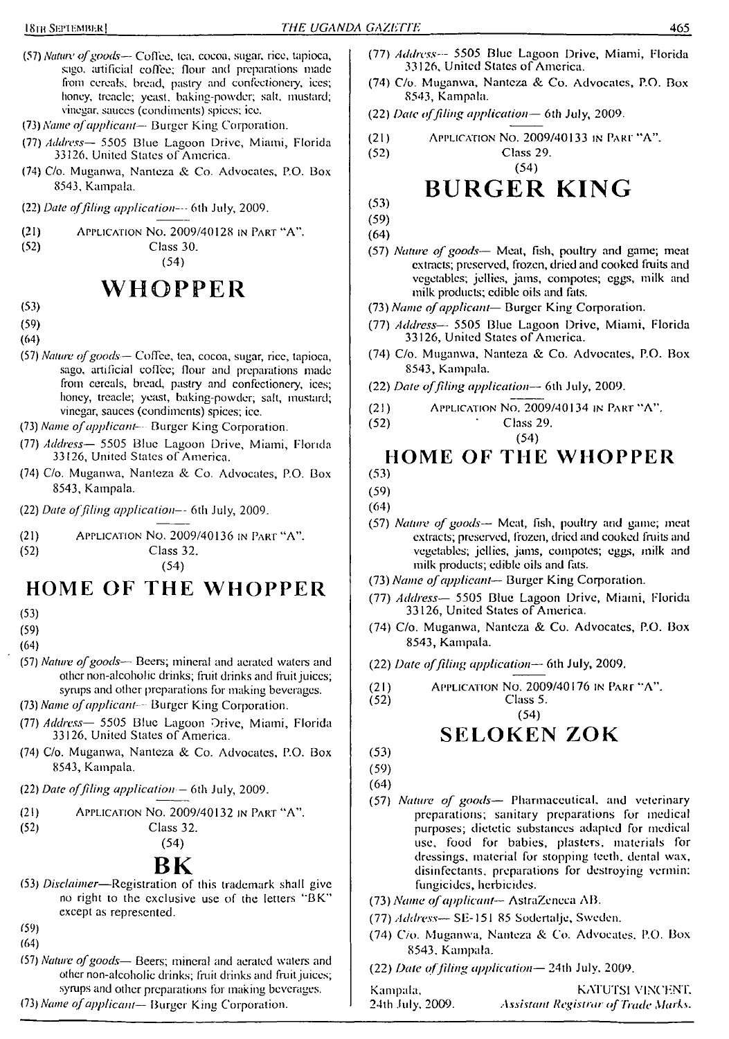- *(57) Nature ofgoods—* Coffee, tea. cocoa, sugar, rice, tapioca, sago. artificial coffee; flour and preparations made from cereals, bread, pastry and confectionery, ices; honey, treacle; yeast, baking-powder; salt, mustard; vinegar, sauces (condiments) spices; ice.
- *(73) Name of applicant* Burger King Corporation.
- (77) *Address—* 5505 Blue Lagoon Drive, Miami, Florida 33126. United States of America.
- (74) C/o. Muganwa, Nanteza & Co. Advocates, P.O. Box 8543, Kampala.
- (22) *Date offiling application-* 6th July, 2009.
- (21) Application No. 2009/40128 in Part "A".
- 

Class 30. (54)

## **WHOPPER**

- (53)
- (59)
- (64)
- (57) *Nature ofgoods—* Coffee, tea, cocoa, sugar, rice, tapioca, sago, artificial coffee; flour and preparations made from cereals, bread, pastry and confectionery, ices; honey, treacle; yeast, baking-powder; salt, mustard; vinegar, sauces (condiments) spices; ice.
- (73) *Name ofapplicant-* Burger King Corporation.
- (77) *Address—* 5505 Blue Lagoon Drive, Miami, Florida 33126, United States of America.
- (74) C/o. Muganwa, Nanteza & Co. Advocates, P.O. Box 8543, Kampala.
- (22) *Date offiling application—* 6th July, 2009.
- (21) Application No. 2009/40136 in Part "A".

(52) Class 32.

(54)

## **HOME OF THE WHOPPER**

(53)

#### (59)

- (64)
- (57) *Nature ofgoods—* Beers; mineral and aerated waters and other non-alcoholic drinks; fruit drinks and fruit juices; syrups and other preparations for making beverages.
- (73) *Name ofapplicant -* Burger King Corporation.
- (77) *Address—* 5505 Blue Lagoon Drive, Miami, Florida 33126, United States of America.
- (74) C/o. Muganwa, Nanteza & Co. Advocates, P.O. Box 8543, Kampala.
- (22) *Date offiling application—* 6th July, 2009.
- (21) Application No. 2009/40132 in Part "A".
- (52) Class 32.

(54)

## **BK**

- (53) *Disclaimer—*Registration of this trademark shall give no right to the exclusive use of the letters "BK" except as represented.
- (59)
- (64)
- (57) *Nature ofgoods—* Beers; mineral and aerated waters and other non-alcoholic drinks; fruit drinks and fruit juices; syrups and other preparations for making beverages.
- (73) *Name ofapplicant—* Burger King Corporation.
- (77) *Address-* <sup>5505</sup> Blue Lagoon Drive, Miami, Florida 33126, United States of America.
- (74) C/o. Muganwa, Nanteza & Co. Advocates, P.O. Box 8543, Kampala.
- (22) *Date offiling application—* 6th July, 2009.
- (21) (52) Application No. 2009/40133 in Part "A". Class 29.

## (54) **BURGER KING**

(53) (59)

- (64)
- (57) *Nature of goods—* Meat, fish, poultry and game; meat extracts; preserved, frozen, dried and cooked fruits and vegetables; jellies, jams, compotes; eggs, milk and milk products; edible oils and fats.
- (73) *Name ofapplicant—* Burgcr King Corporation.
- (77) *Address—* 5505 Blue Lagoon Drive, Miami, Florida 33126, United States of America.
- (74) C/o. Muganwa, Nanteza & Co. Advocates, P.O. Box 8543, Kampala.
- (22) *Date offiling application—* 6th July, 2009.
- (21) Application No. 2009/40134 in Part "A",
- (52) ' Class 29.

$$
(54)
$$

#### **HOME OF THE WHOPPER**

- (53)
- (59)
- (64)
- (57) *Nature of goods—* Meat, fish, poultry and game; meat extracts; preserved, frozen, dried and cooked fruits and vegetables; jellies, jams, compotes; eggs, milk and milk products; edible oils and fats.
- (73) *Name ofapplicant—* Burgcr King Corporation.
- (77) *Address—* 5505 Blue Lagoon Drive, Miami, Florida 33126, United States of America.
- (74) C/o. Muganwa, Nanteza & Co. Advocates, P.O. Box 8543, Kampala.
- (22) *Date offiling application—* 6th July, 2009.
- (21) Application No. 2009/40176 in Part "A".

Class 5. (54)

## **SELOKEN ZOK**

- (53) (59)
- (64)
- (57) *Nature of goods—* Pharmaceutical, and veterinary preparations; sanitary preparations for medical purposes; dietetic substances adapted for medical use, food for babies, plasters, materials for dressings, material for stopping teeth, dental wax, disinfectants, preparations for destroying vermin; fungicides, herbicides.
- (73) *Name ofapplicant—* AstraZeneca AB.
- (77) *Address* SE-151 85 Sodertalje, Sweden.
- (74) C/o. Muganwa, Nanteza *& Co.* Advocates. P.O. Box 8543. Kampala.
- (22) *Date offiling application—* 24th July. 2009.

Kampala, KATUTSI VINCENT. 24th July, 2009. *Assistant Registrar ofTrade Marks.*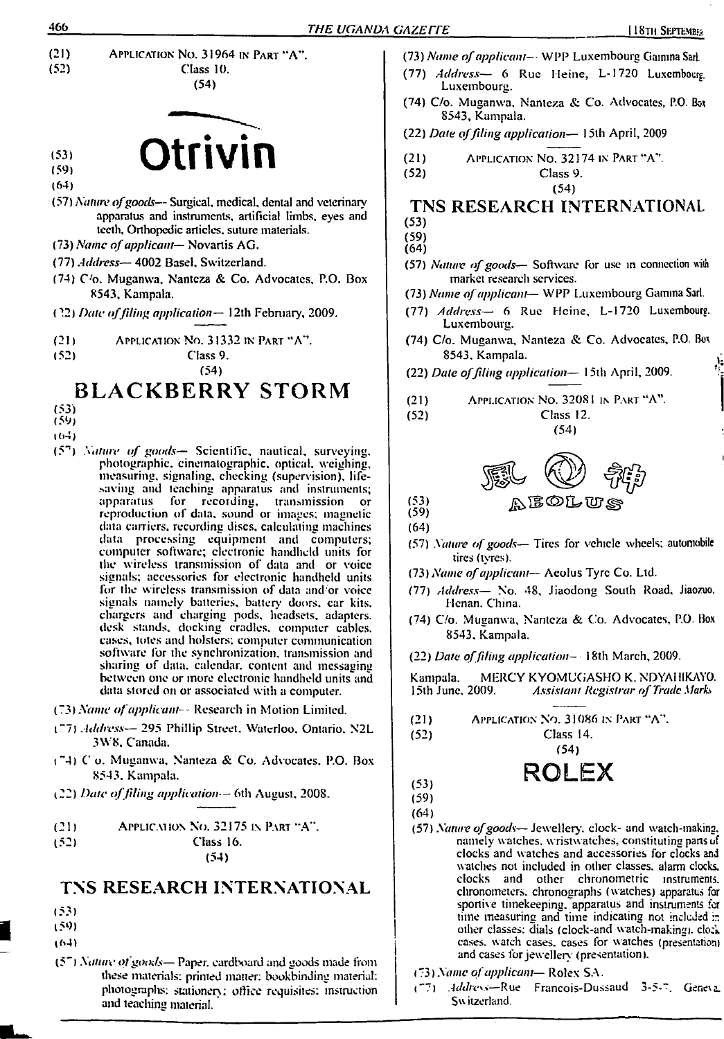

# **:s: Otrivin**

- **(64)**
- **(57)** *Nature ofgoods—* **Surgical, medical, dental and veterinary apparatus and instruments, artificial limbs, eyes and teeth. Orthopedic articles, suture materials.**
- **(73)** *Name ofapplicant-***— Novartis AG.**
- **(77)** *Address—* **4002 Basel, Switzerland.**
- **(74) C'o. Muganwa, Nanteza & Co. Advocates, P.O. Box 8543, Kampala.**
- **(?2)** *Date offiling application—* **<sup>1</sup>2th February, 2009.**

**(21 <sup>j</sup>** Application No. **31332** in Part **"A".**

**(52) Class 9.**

**(54)**

### **BLACKBERRY STORM**

- **(53)**
- **(59)**
- **i (>4)**
- **(5n)** *Nature of goods—* **Scientific, nautical, surveying, photographic, cinematographic, optical, weighing, measuring, signaling, checking (supervision), lifesaving and leaching apparatus and instruments; apparatus for recording, transmission or reproduction of data, sound or images; magnetic data carriers, recording discs, calculating machines data processing equipment and computers; computer software; electronic handheld units for the wireless transmission of data and or voice signals; accessories for electronic handheld units for the wireless transmission of data and or voice signals namely batteries, battery doors, car kits, chargers and charging pods, headsets, adapters, desk stands, docking cradles, computer cables, cases, totes and holsters; computer communication software for the synchronization, transmission and sharing of data, calendar, content and messaging between one or more electronic handheld units and data stored on or associated with a computer.**
- **(73)** *Name ofapplicant-■-* **Research in Motion Limited.**
- **("7)** *Address—* **295 Phillip Street. Waterloo. Ontario. N2L 3W8. Canada.**
- **t"4) Co. Muganwa. Nanteza & Co. Advocates. P.O. Box 8543. Kampala.**
- **(22)** *Date offiling application—* **6th August. 2008.**

**(21)** Application No. **32175** in Part **"A".**

**(52) Class 16. (54)**

#### **TNS RESEARCH INTERNATIONAL**

- **(53)**
- **(59)**
- **(64)**
- **(5")** *Nature ofgoods—* **Paper, cardboard and goods made from these materials; printed matter: bookbinding material: photograplis: stationery: office requisites: instruction and teaching material.**
- **(73)** *Name ofapplicant--■* **WPP Luxembourg Gamma Sari.**
- **(77)** *Address—* **6 Rue Heine, L-1720 Luxembourg. Luxembourg.**
- **(74) C/o. Muganwa, Nanteza & Co. Advocates. P.O. Box 8543, Kampala.**

**(22)** *Date offiling application—* **<sup>1</sup>5th April, 2009**

**(21) (52)** Application No. **32174** in Part **"A". Class 9.**

## **TNS RESEARCH INTERNATIONAL**

**(54)**

- **(53) (59)**
- **(64)**
- **(57)** *Nature ofgoods***— Software for use in connection with market research services.**
- **(73)** *Name ofapplicant***— WPP Luxembourg Gamma Sari.**
- **(77)** *Address—* **6 Rue Heine. L-1720 Luxembourg. Luxembourg.**
- **(74) C/o. Muganwa, Nanteza & Co. Advocates, P.O. Box 8543, Kampala.**
- **(22)** *Date offiling application—* **<sup>1</sup>5th April, 2009.**
- **(21) (52)** Application No. **32081** in Part **"A". Class 12.**

**(54)**



**(53) (59) (64)**

- **(57)** *Nature ofgoods—* **Tires for vehicle wheels; automobile tires (tyres).**
- **(73)** *Name ofapplicant—* **Aeolus Tyre Co. Ltd.**
- **(77)** *Address—* **No. 48, Jiaodong South Road, Jiaozuo, Henan. China.**
- **(74) C/o. Muganwa, Nanteza & Co. Advocates, P.O. Box 8543. Kampala.**

**(22)** *Date offiling application—* **<sup>1</sup>8th March, 2009.**

**Kampala. MERCY KYOMUGASHO K. NDYA11IKAY0. <sup>1</sup>5th June. 2009.** *Assistant Registrar of Trade Marks*

Application No. **31086** in Part **"A".**  $(21)$ 

**Class 14.**

**(54)** ROLEX

$$
(53)
$$

**(52)**

**(59) (64)**

> **(57)** *Nature ofgoods***— Jewellery, clock- and waich-makina. namely watches, wristwatches, constituting pansuf clocks and watches and accessories for clocks and watches not included in other classes, alarm clocks, clocks and other chronometric instruments, chronometers, chronographs (watches) apparatus for sportive timekeeping, apparatus and instruments far time measuring and time indicating not included :r. other classes: dials (clock-and watch-making), dock cases, watch cases, cases for watches (presentation) and cases for jeweller} (presentation).**

#### *(73) Name ofapplicant-***— Rolex SA.**

**("7)** *Address—***Rue Francois-Dussaud** Gene\a**Sw itzerland.**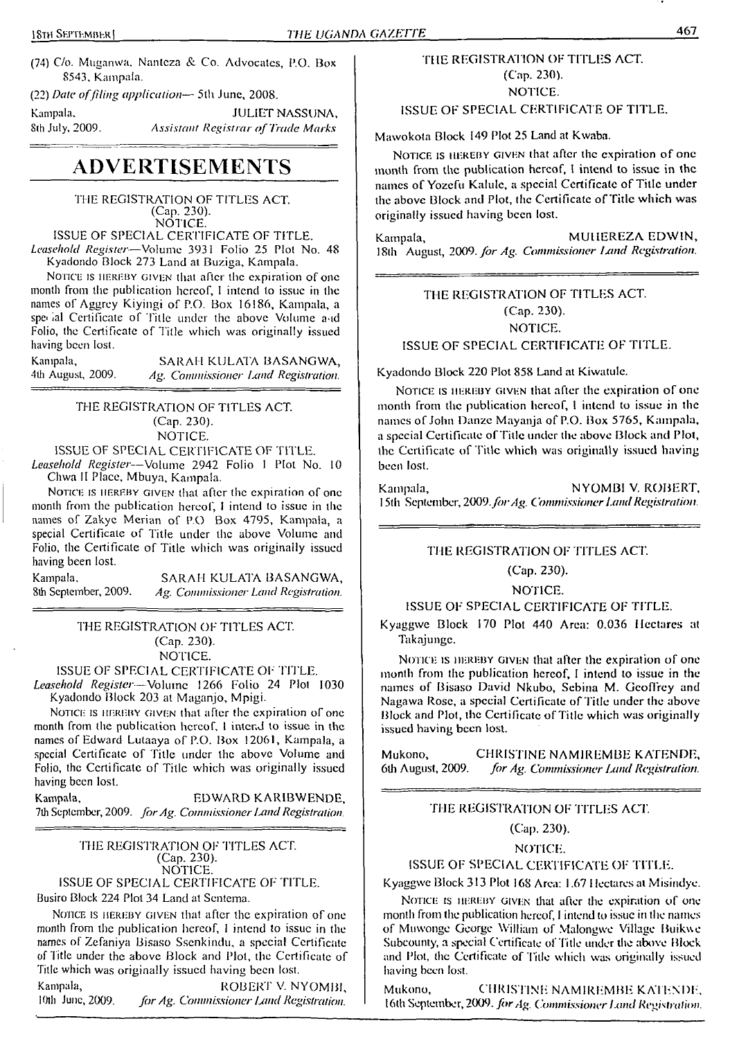(74) C/o. Muganwa. Nanteza &. Co. Advocates, P.O. Box 8543. Kampala.

(22) *Date offiling application—* 5th June, 2008.

Kampala. **JULIET NASSUNA,**<br>8th July, 2009. *Assistant Registrar of Trade Marks* 8th July, 2009. *Assistant Registrar of Trade Marks*

## **ADVERTISEMENTS**

'THE REGISTRATION OF TITLES ACT. (Cap. 230). NOTICE.

ISSUE OF SPECIAL CERTIFICATE OF TITLE.

*Leasehold Register-—*Volume 3931 Folio 25 Plot No. 48 Kyadondo Block 273 Land at Buziga, Kampala.

NOTICE IS HEREBY GIVEN that after the expiration of one month from the publication hereof, <sup>I</sup> intend to issue in the names of Aggrey Kiyingi of P.O. Box 16186, Kampala, a special Certificate of Title under the above Volume and Folio, the Certificate of Title which was originally issued having been lost.

| Kampala,          | SARAH KULATA BASANGWA,              |
|-------------------|-------------------------------------|
| 4th August, 2009. | Ag. Commissioner Land Registration. |

THE REGISTRATION OF TITLES ACT. (Cap. 230). NOTICE.

ISSUE OF SPECIAL CERTIFICATE OF TITLE.

*Leasehold Register—*Volume 2942 Folio <sup>1</sup> Plot No. <sup>10</sup> Chwa II Place, Mbuya, Kampala.

NOTICE IS HEREBY GIVEN that after the expiration of one month from the publication hereof, <sup>I</sup> intend to issue in the names of Zakyc Merian of P.O. Box 4795, Kampala, a special Certificate of Title under the above Volume and Folio, the Certificate of Title which was originally issued having been lost.

Kampala, SARAH KULATA BASANGWA, 8th September, 2009. Ag. Commissioner Land Registration. 8th September, 2009. *Ag. Commissioner Land Registration.*

> THE REGISTRATION OF TITLES ACT. (Cap. 230). NOTICE.

ISSUE OF SPECIAL CERTIFICATE OF TITLE.

*Leasehold Register—*Volume 1266 Folio 24 Plot 1030 Kyadondo Block 203 at Maganjo, Mpigi.

NOTICE IS HEREBY GIVEN that after the expiration of one month from the publication hereof, <sup>I</sup> intend to issue in the names of Edward Lutaaya of P.O. Box 12061, Kampala, a special Certificate of Title under the above Volume and Folio, the Certificate of Title which was originally issued having been lost.

Kampala, EDWARD KARIBWENDE, 7th September, 2009. for Ag. Commissioner Land Registration.

HIE REGISTRATION OF 'TITLES ACT. (Cap. 230). NOTICE. ISSUE OF SPECIAL CERTIFICATE OF TITLE.

Busiro Block 224 Plot 34 Land at Sentema.

NOTICE IS HEREBY GIVEN that after the expiration of one month from the publication hereof, <sup>I</sup> intend to issue in the names of Zefaniya Bisaso Sscnkindu, a special Certificate of Title under the above Block and Plot, the Certificate of Title which was originally issued having been lost.

Kampala, ROBERT V. NYOMBI, 10th June, 2009. for Ag. Commissioner Land Registration. R)th June, 2009. *forAg. Commissioner hind Registration.*

#### THE REGISTRATION OF TITLES ACT. (Cap. 230). NOTICE.

ISSUE OF SPECIAL CERTIFICATE OF TITLE.

Mawokota Block 149 Plot 25 Land at Kwaba.

NOTICE IS HEREBY GIVEN that after the expiration of one month from the publication hereof, I intend to issue in the names of Yozefu Kalule, a special Certificate of Title under the above Block and Plot, the Certificate of Title which was originally issued having been lost.

Kampala, MUHEREZA EDWIN, 18th August, *2009. for Ag. Commissioner Ixmd Registration.*

#### THE REGISTRATION OF TITLES ACT. (Cap. 230). NOTICE. ISSUE OF SPECIAL CERTIFICATE OF TITLE.

Kyadondo Block 220 Plot 858 Land at Kiwatulc.

Notice is hereby given that after the expiration of one month from the publication hereof, <sup>I</sup> intend to issue in the names of John Danze Mayanja of P.O. Box 5765, Kampala, a special Certificate of Title under the above Block and Plot, the Certificate of'Title which was originally issued having been lost.

Kampala, NYOMBI V. ROBERT, 15th September, 2009.*forAg. Commissioner LandRegistration.*

#### THE REGISTRATION OF TITLES ACT.

(Cap. 230).

NOTICE.

ISSUE OF SPECIAL CERTIFICATE OF TITLE.

Kyaggwc Block 170 Plot 440 Area: 0.036 Hectares at Takajungc.

NOTICE IS HEREBY GIVEN that after the expiration of one month from the publication hereof, <sup>I</sup> intend to issue in the names of Bisaso David Nkubo, Sebina M. Geoffrey and Nagawa Rose, a special Certificate of Title under the above Block and Plot, the Certificate of Title which was originally issued having been lost.

Mukono, CHRISTINE NAMIREMBE KATENDE,<br>6th August, 2009. for Ag. Commissioner Land Registration. 6th August, 2009. *for Ag. Commissioner Land Registration.*

#### THE REGISTRATION OF TITLES ACT.

(Cap. 230).

NOTICE'.

ISSUE OF SPECIAL CERTIFICATE OF TITLE.

Kyaggwe Block 313 Plot 168 Area: 1.67 <sup>I</sup> Icctares at Misindye.

NOTICE IS HEREBY GIVEN that after the expiration of one month from the publication hereof, <sup>I</sup> intend to issue in the names of Muwonge George William of Malongwe Village Buikwe Subcouniy, a special Certificate of Title under the above Block and Plot, the Certificate of Title which was originally issued having been lost.

Mukono, CHRISTINE NAMIREMBE KATENDE, I6(h September, 2009. *forAg. Commissioner Land Registration.*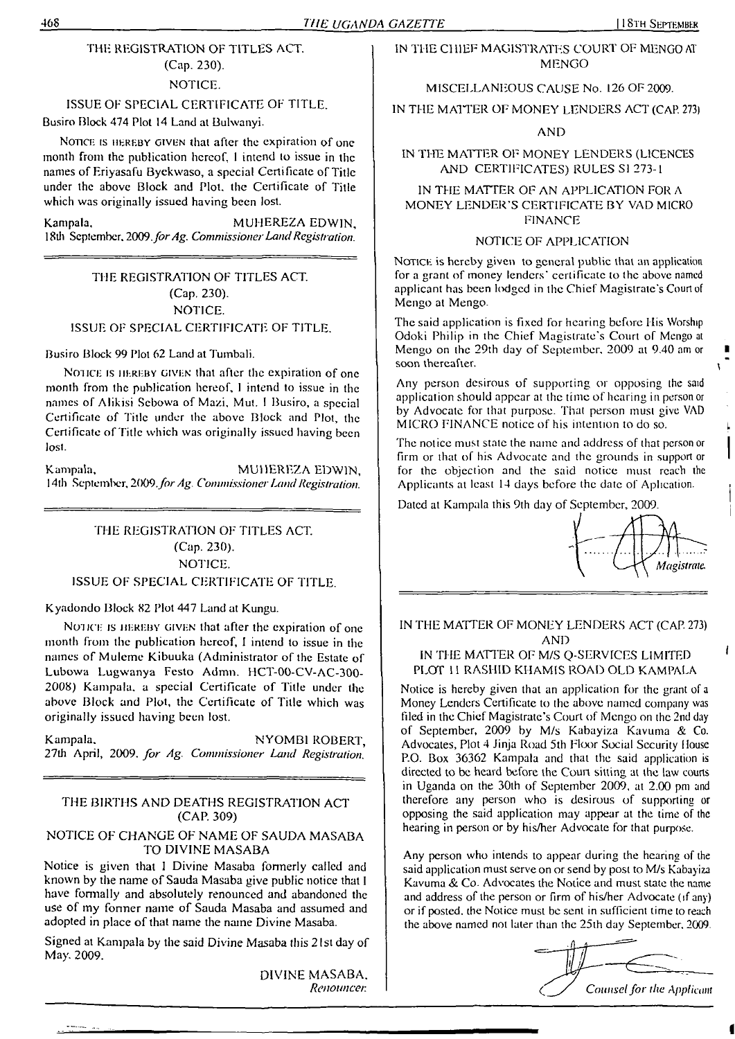### THE REGISTRATION OF TITLES ACT. (Cap. 230).

#### NOTICE.

#### ISSUE OF SPECIAL CERTIFICATE OF TITLE.

Busiro Block 474 Plot 14 Land at Bulwanyi.

NOTICE IS HEREBY GIVEN that after the expiration of one month from the publication hereof, <sup>I</sup> intend to issue in the names of Eriyasafu Byekwaso, a special Certificate of Title under the above Block and Plot, the Certificate of Title which was originally issued having been lost.

Kampala. MUHEREZA EDWIN, 18th September. *2009.forAg. CommissionerLandRegistration.*

#### THE REGISTRATION OF TITLES ACT. (Cap. 230). NOTICE. ISSUE OF SPECIAL CERTIFICATE OF TITLE.

#### Busiro Block 99 Plot 62 Land at Tumbali.

Notice is hereby given that after the expiration of one month from the publication hereof, <sup>1</sup> intend to issue in the names of Alikisi Sebowa of Mazi, Mut. <sup>I</sup> Busiro, a special Certificate of Title under the above Block and Plot, the Certificate of Title which was originally issued having been lost.

Kampala, MUHEREZA EDWIN, 14th September, 2009. for Ag. Commissioner Land Registration.

#### THE REGISTRATION OF TITLES ACT. (Cap. 230). NOTICE. ISSUE OF SPECIAL CERTIFICATE OF TITLE.

#### Kyadondo Block 82 Plot 447 Land at Kungu.

NOTICE IS HEREBY GIVEN that after the expiration of one month from the publication hereof, <sup>1</sup> intend to issue in the names of Muleme Kibuuka (Administrator of the Estate of Lubowa Lugwanya Festo Admn. HCT-00-CV-AC-300- 2008) Kampala, a special Certificate of Title under the above Block and Plot, the Certificate of Title which was originally issued having been lost.

Kampala. NYOMBI ROBERT, 27th April, 2009. *for Ag. Commissioner Land Registration.*

#### THE BIRTHS AND DEATHS REGISTRATION ACT (CAP. 309)

#### NOTICE OF CHANGE OF NAME OF SAUDA MASABA TO DIVINE MASABA

Notice is given that <sup>I</sup> Divine Masaba formerly called and known by the name of Sauda Masaba give public notice that <sup>I</sup> have formally and absolutely renounced and abandoned the use of my former name of Sauda Masaba and assumed and adopted in place of that name the name Divine Masaba.

Signed at Kampala by the said Divine Masaba this 21st day of May. 2009.

> DIVINE MASABA. *Renouncen*

#### IN THE CHIEF MAGISTRATES COURT OF MENGO AT MENGO

MISCELLANEOUS CAUSE No. 126 OF 2009.

IN THE MATTER OF MONEY LENDERS ACT (CAP. 273j

#### AND

#### IN THE MATTER OF MONEY LENDERS (LICENCES AND CERTIFICATES) RULES SI 273-1

#### IN THE MATTER OF AN APPLICATION FOR A MONEY LENDER'S CERTIFICATE BY VAD MICRO FINANCE

#### NOTICE OF APPLICATION

NOTICE is hereby given to general public that an application for a grant of money lenders' certificate to the above named applicant has been lodged in the Chief Magistrate's Court of Mengo at Mengo.

The said application is fixed for hearing before His Worship Odoki Philip in the Chief Magistrate's Court of Mengo at Mengo on the 29th day of September, 2009 at 9.40 am or soon thereafter.

Any person desirous of supporting or opposing the said application should appear at the time of hearing in person or by Advocate for that purpose. That person must give VAD MICRO FINANCE notice of his intention to do so.

The notice must state the name and address of that person or firm or that of his Advocate and the grounds in support or for the objection and the said notice must reach the Applicants at least 14 days before the date of Apheation.

Dated at Kampala this 9th day of September, 2009.



ł

#### IN THE MATTER OF MONEY LENDERS ACT (CAP. 273) AND

#### IN THE MATTER OF M/S Q-SERVICES LIMITED PLOT 1<sup>1</sup> RASHID KHAMIS ROAD OLD KAMPALA

Notice is hereby given that an application for the grant of <sup>a</sup> Money Lenders Certificate to the above named company was filed in the Chief Magistrate's Court of Mengo on the 2nd day of September, 2009 by M/s Kabayiza Kavuma & Co. Advocates, Plot 4 Jinja Road 5th Floor Social Security House P.O. Box 36362 Kampala and that the said application is directed to be heard before the Court sitting at the law courts in Uganda on the 30th of September 2009, at 2.00 pm and therefore any person who is desirous of supporting or opposing the said application may appear at the lime of the hearing in person or by his/her Advocate for that purpose.

Any person who intends to appear during the hearing of the said application must serve on or send by post to M/s Kabayiza Kavuma & Co. Advocates the Notice and must state the name and address of the person or firm of his/her Advocate (if any) or if posted, the Notice must be sent in sufficient time to reach the above named not later than the 25th day September, 2009.

Counsel for the Applicant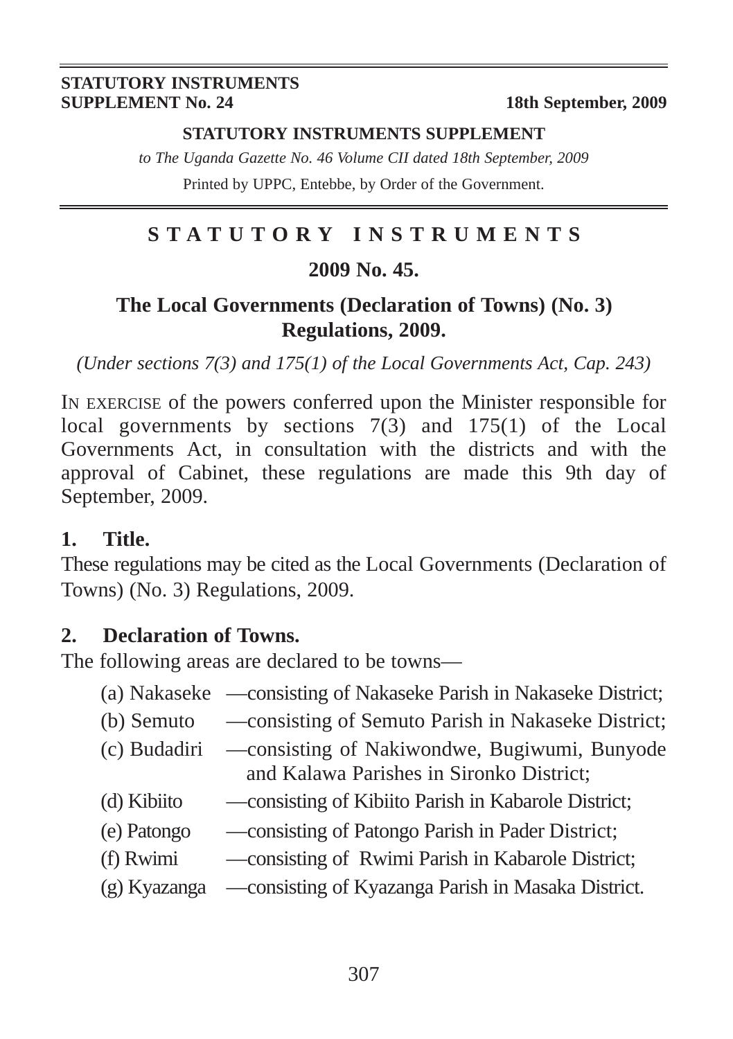#### **STATUTORY INSTRUMENTS SUPPLEMENT**

*to The Uganda Gazette No. 46 Volume CII dated 18th September, 2009* Printed by UPPC, Entebbe, by Order of the Government.

### **STATUTORY INSTRUMENTS**

#### **2009 No. 45.**

#### **The Local Governments (Declaration of Towns) (No. 3) Regulations, 2009.**

*(Under sections 7(3) and 175(1) of the Local Governments Act, Cap. 243)*

IN EXERCISE of the powers conferred upon the Minister responsible for local governments by sections 7(3) and 175(1) of the Local Governments Act, in consultation with the districts and with the approval of Cabinet, these regulations are made this 9th day of September, 2009.

#### **1. Title.**

These regulations may be cited as the Local Governments (Declaration of Towns) (No. 3) Regulations, 2009.

#### **2. Declaration of Towns.**

The following areas are declared to be towns—

- (a) Nakaseke —consisting of Nakaseke Parish in Nakaseke District;
- (b) Semuto —consisting of Semuto Parish in Nakaseke District;
- (c) Budadiri —consisting of Nakiwondwe, Bugiwumi, Bunyode and Kalawa Parishes in Sironko District;
- (d) Kibiito —consisting of Kibiito Parish in Kabarole District;
- (e) Patongo —consisting of Patongo Parish in Pader District;
- (f) Rwimi —consisting of Rwimi Parish in Kabarole District;
- (g) Kyazanga —consisting of Kyazanga Parish in Masaka District.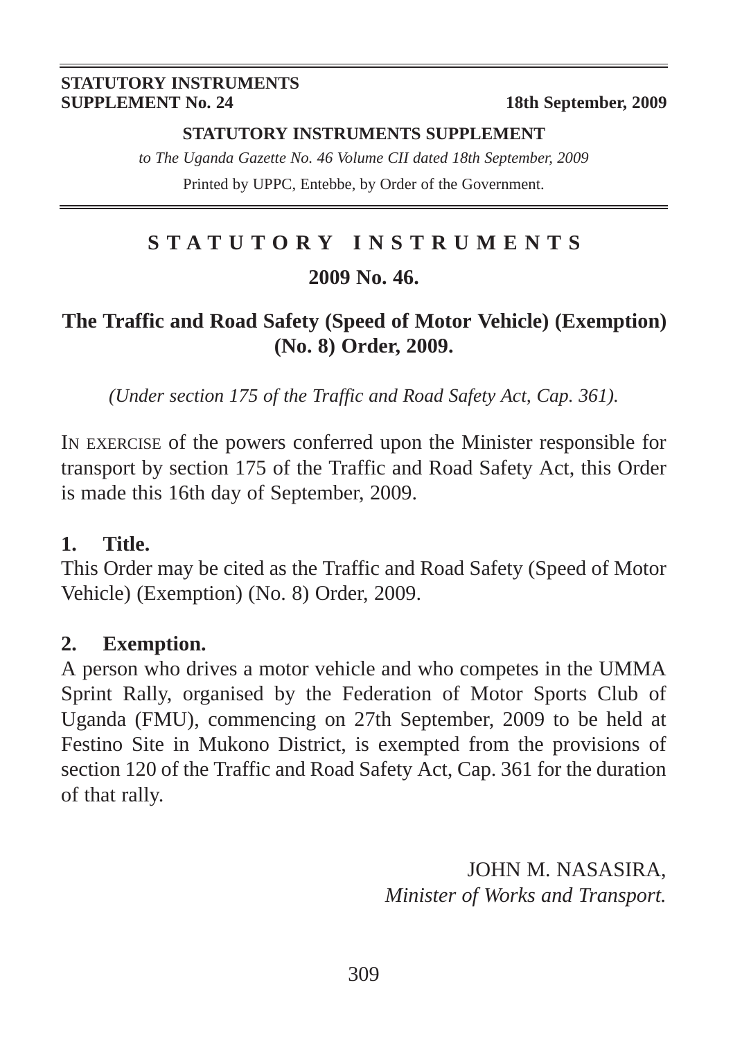#### **STATUTORY INSTRUMENTS SUPPLEMENT**

*to The Uganda Gazette No. 46 Volume CII dated 18th September, 2009* Printed by UPPC, Entebbe, by Order of the Government.

## **STATUTORY INSTRUMENTS 2009 No. 46.**

#### **The Traffic and Road Safety (Speed of Motor Vehicle) (Exemption) (No. 8) Order, 2009.**

*(Under section 175 of the Traffic and Road Safety Act, Cap. 361).*

IN EXERCISE of the powers conferred upon the Minister responsible for transport by section 175 of the Traffic and Road Safety Act, this Order is made this 16th day of September, 2009.

#### **1. Title.**

This Order may be cited as the Traffic and Road Safety (Speed of Motor Vehicle) (Exemption) (No. 8) Order, 2009.

#### **2. Exemption.**

A person who drives a motor vehicle and who competes in the UMMA Sprint Rally, organised by the Federation of Motor Sports Club of Uganda (FMU), commencing on 27th September, 2009 to be held at Festino Site in Mukono District, is exempted from the provisions of section 120 of the Traffic and Road Safety Act, Cap. 361 for the duration of that rally.

> JOHN M. NASASIRA, *Minister of Works and Transport.*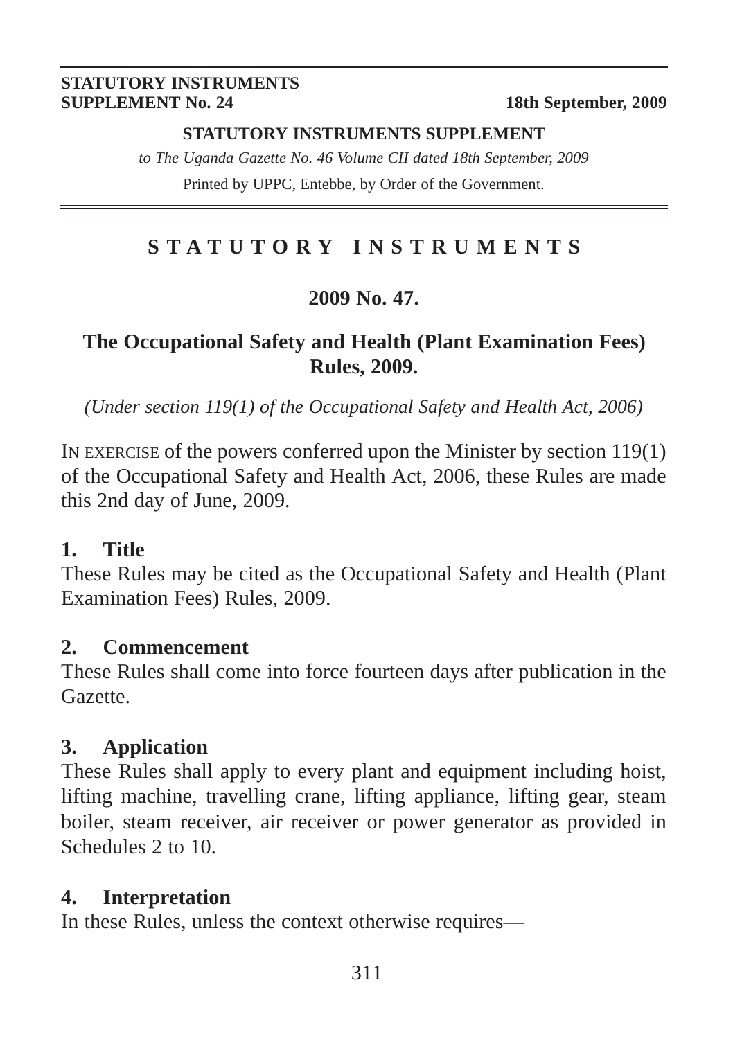#### **STATUTORY INSTRUMENTS SUPPLEMENT**

*to The Uganda Gazette No. 46 Volume CII dated 18th September, 2009* Printed by UPPC, Entebbe, by Order of the Government.

#### **STATUTORY INSTRUMENTS**

#### **2009 No. 47.**

#### **The Occupational Safety and Health (Plant Examination Fees) Rules, 2009.**

*(Under section 119(1) of the Occupational Safety and Health Act, 2006)*

IN EXERCISE of the powers conferred upon the Minister by section 119(1) of the Occupational Safety and Health Act, 2006, these Rules are made this 2nd day of June, 2009.

#### **1. Title**

These Rules may be cited as the Occupational Safety and Health (Plant Examination Fees) Rules, 2009.

#### **2. Commencement**

These Rules shall come into force fourteen days after publication in the Gazette.

#### **3. Application**

These Rules shall apply to every plant and equipment including hoist, lifting machine, travelling crane, lifting appliance, lifting gear, steam boiler, steam receiver, air receiver or power generator as provided in Schedules 2 to 10.

#### **4. Interpretation**

In these Rules, unless the context otherwise requires—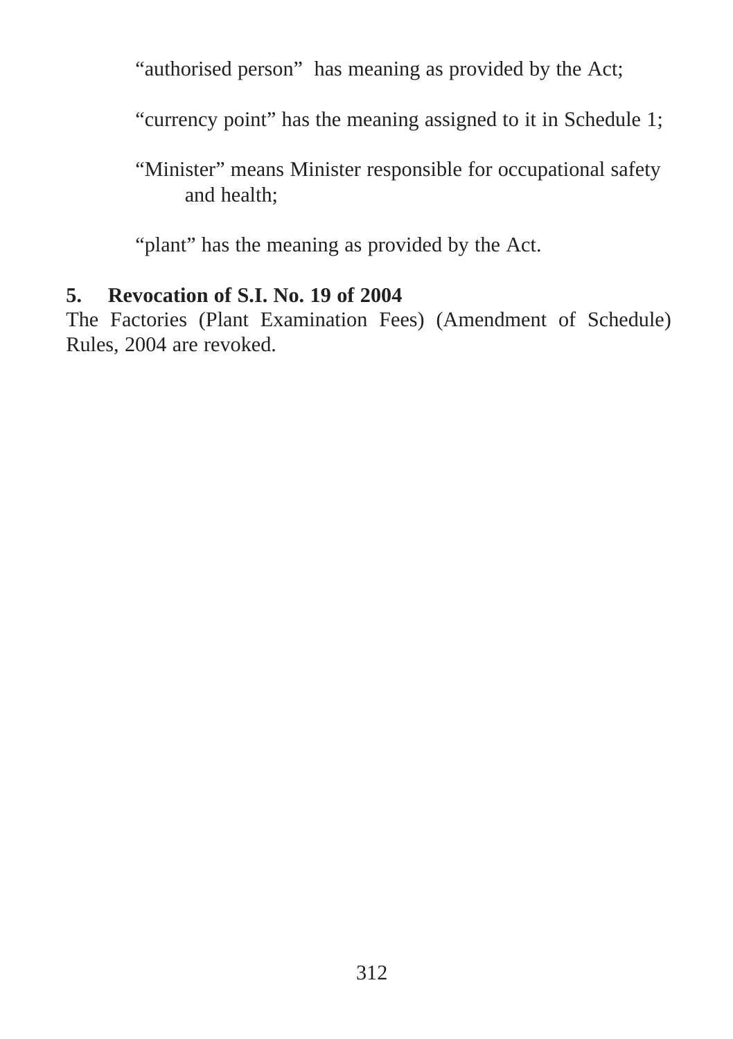"authorised person" has meaning as provided by the Act;

"currency point" has the meaning assigned to it in Schedule 1;

"Minister" means Minister responsible for occupational safety and health;

"plant" has the meaning as provided by the Act.

#### **5. Revocation of S.I. No. 19 of 2004**

The Factories (Plant Examination Fees) (Amendment of Schedule) Rules, 2004 are revoked.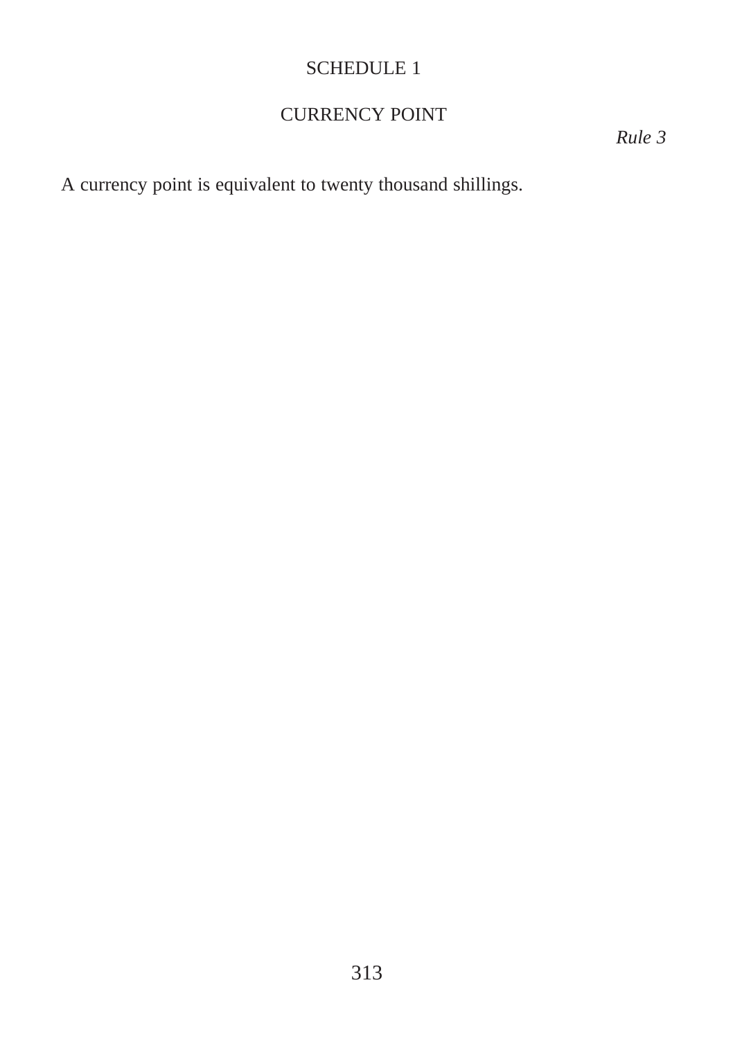#### CURRENCY POINT

*Rule 3*

A currency point is equivalent to twenty thousand shillings.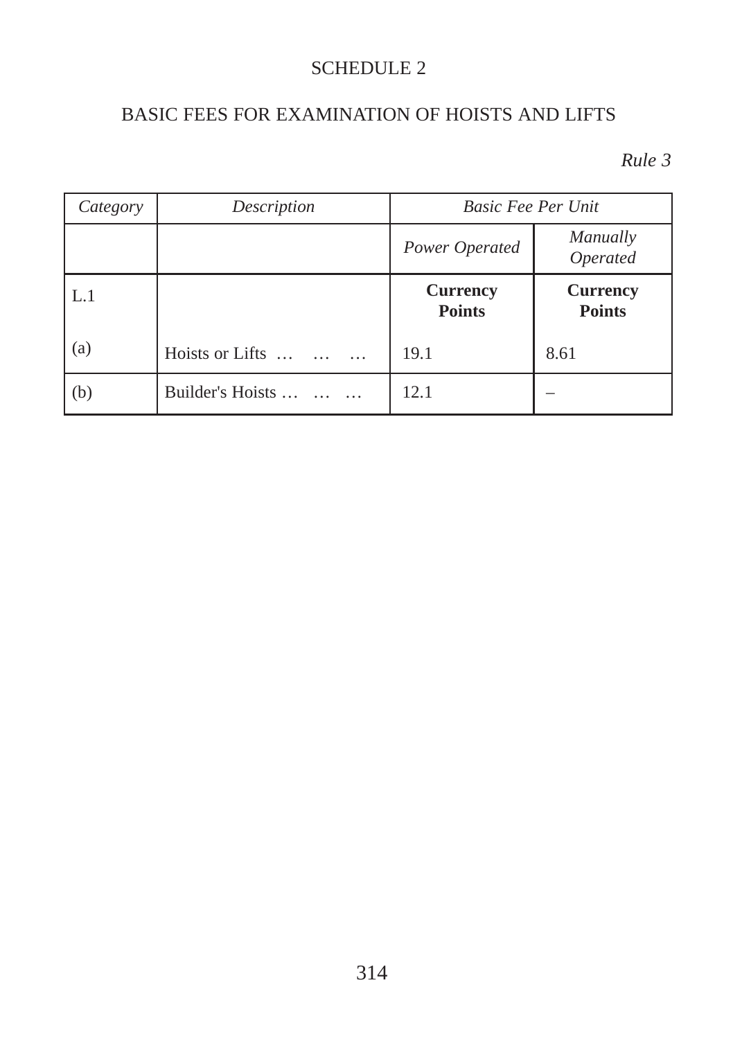#### BASIC FEES FOR EXAMINATION OF HOISTS AND LIFTS

| Category | Description      | <b>Basic Fee Per Unit</b>        |                                  |
|----------|------------------|----------------------------------|----------------------------------|
|          |                  | Power Operated                   | Manually<br>Operated             |
| L.1      |                  | <b>Currency</b><br><b>Points</b> | <b>Currency</b><br><b>Points</b> |
| (a)      | Hoists or Lifts  | 19.1                             | 8.61                             |
| (b)      | Builder's Hoists | 12.1                             |                                  |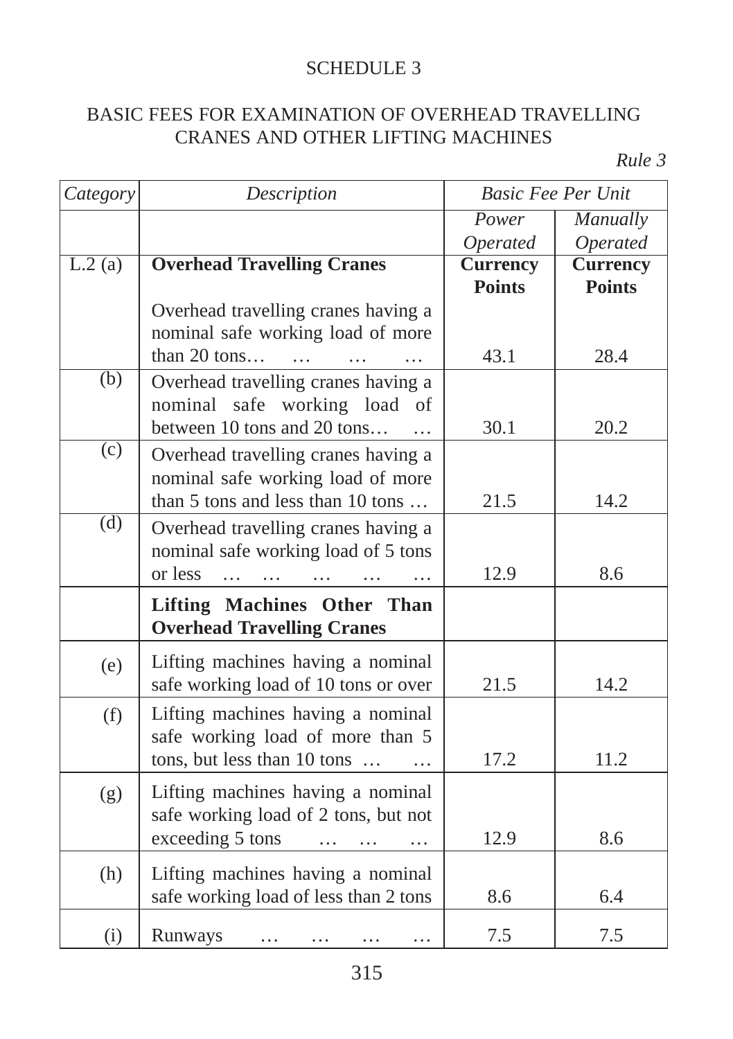#### BASIC FEES FOR EXAMINATION OF OVERHEAD TRAVELLING CRANES AND OTHER LIFTING MACHINES

| Category            | Description                                       | <b>Basic Fee Per Unit</b> |                 |
|---------------------|---------------------------------------------------|---------------------------|-----------------|
|                     |                                                   | Power                     | Manually        |
|                     |                                                   | Operated                  | Operated        |
| $\overline{L.2(a)}$ | <b>Overhead Travelling Cranes</b>                 | <b>Currency</b>           | <b>Currency</b> |
|                     |                                                   | <b>Points</b>             | <b>Points</b>   |
|                     | Overhead travelling cranes having a               |                           |                 |
|                     | nominal safe working load of more                 |                           |                 |
|                     | than 20 tons<br>$\cdots$<br>$\ddotsc$<br>$\cdots$ | 43.1                      | 28.4            |
| $\overline{(b)}$    | Overhead travelling cranes having a               |                           |                 |
|                     | nominal safe working load of                      |                           |                 |
|                     | between 10 tons and 20 tons                       | 30.1                      | 20.2            |
| $\overline{c}$      | Overhead travelling cranes having a               |                           |                 |
|                     | nominal safe working load of more                 |                           |                 |
|                     | than 5 tons and less than 10 tons                 | 21.5                      | 14.2            |
| $\overline{d}$      | Overhead travelling cranes having a               |                           |                 |
|                     | nominal safe working load of 5 tons               |                           |                 |
|                     | or less                                           | 12.9                      | 8.6             |
|                     | $\cdots$                                          |                           |                 |
|                     | <b>Lifting Machines Other Than</b>                |                           |                 |
|                     | <b>Overhead Travelling Cranes</b>                 |                           |                 |
| (e)                 | Lifting machines having a nominal                 |                           |                 |
|                     | safe working load of 10 tons or over              | 21.5                      | 14.2            |
| (f)                 | Lifting machines having a nominal                 |                           |                 |
|                     | safe working load of more than 5                  |                           |                 |
|                     | tons, but less than 10 tons                       | 17.2                      | 11.2            |
|                     |                                                   |                           |                 |
| (g)                 | Lifting machines having a nominal                 |                           |                 |
|                     | safe working load of 2 tons, but not              |                           |                 |
|                     | exceeding 5 tons<br>$\cdots$                      | 12.9                      | 8.6             |
| (h)                 | Lifting machines having a nominal                 |                           |                 |
|                     | safe working load of less than 2 tons             | 8.6                       | 6.4             |
|                     |                                                   |                           |                 |
| (i)                 | Runways<br>$\cdots$<br>$\cdots$<br>$\cdots$<br>.  | 7.5                       | 7.5             |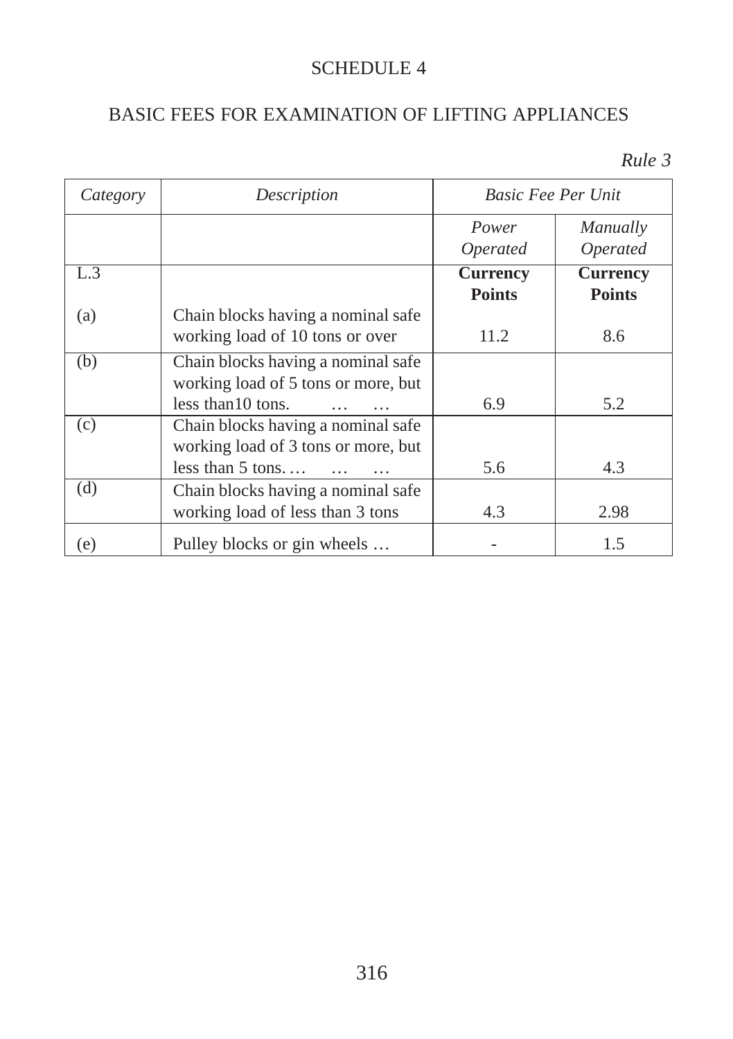#### BASIC FEES FOR EXAMINATION OF LIFTING APPLIANCES

| Category | Description                                                                                     | <b>Basic Fee Per Unit</b>        |                                  |
|----------|-------------------------------------------------------------------------------------------------|----------------------------------|----------------------------------|
|          |                                                                                                 | Power<br><i>Operated</i>         | Manually<br><i>Operated</i>      |
| L.3      |                                                                                                 | <b>Currency</b><br><b>Points</b> | <b>Currency</b><br><b>Points</b> |
| (a)      | Chain blocks having a nominal safe<br>working load of 10 tons or over                           | 11.2                             | 8.6                              |
| (b)      | Chain blocks having a nominal safe<br>working load of 5 tons or more, but<br>less than 10 tons. | 6.9                              | 5.2                              |
| (c)      | Chain blocks having a nominal safe<br>working load of 3 tons or more, but<br>less than $5$ tons | 5.6                              | 4.3                              |
| (d)      | Chain blocks having a nominal safe<br>working load of less than 3 tons                          | 4.3                              | 2.98                             |
| (e)      | Pulley blocks or gin wheels                                                                     |                                  | 1.5                              |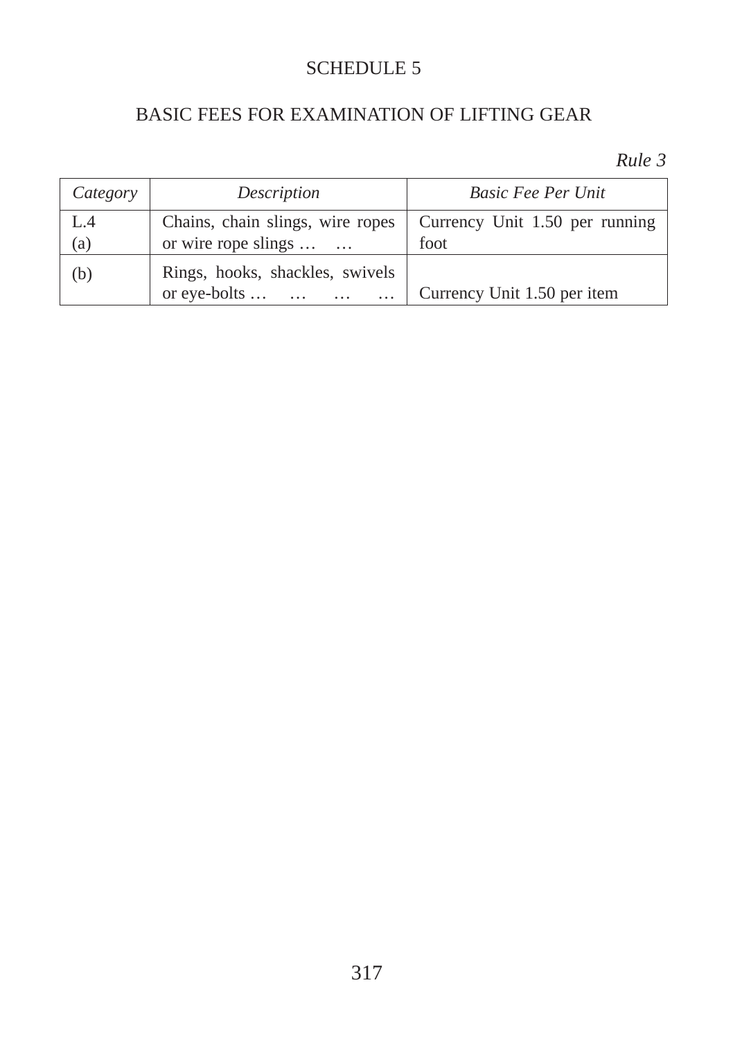#### BASIC FEES FOR EXAMINATION OF LIFTING GEAR

| Category | Description                                                 | <b>Basic Fee Per Unit</b>      |
|----------|-------------------------------------------------------------|--------------------------------|
| L.4      | Chains, chain slings, wire ropes                            | Currency Unit 1.50 per running |
| (a)      | or wire rope slings                                         | foot                           |
| (b)      | Rings, hooks, shackles, swivels<br>or eye-bolts<br>$\cdots$ | Currency Unit 1.50 per item    |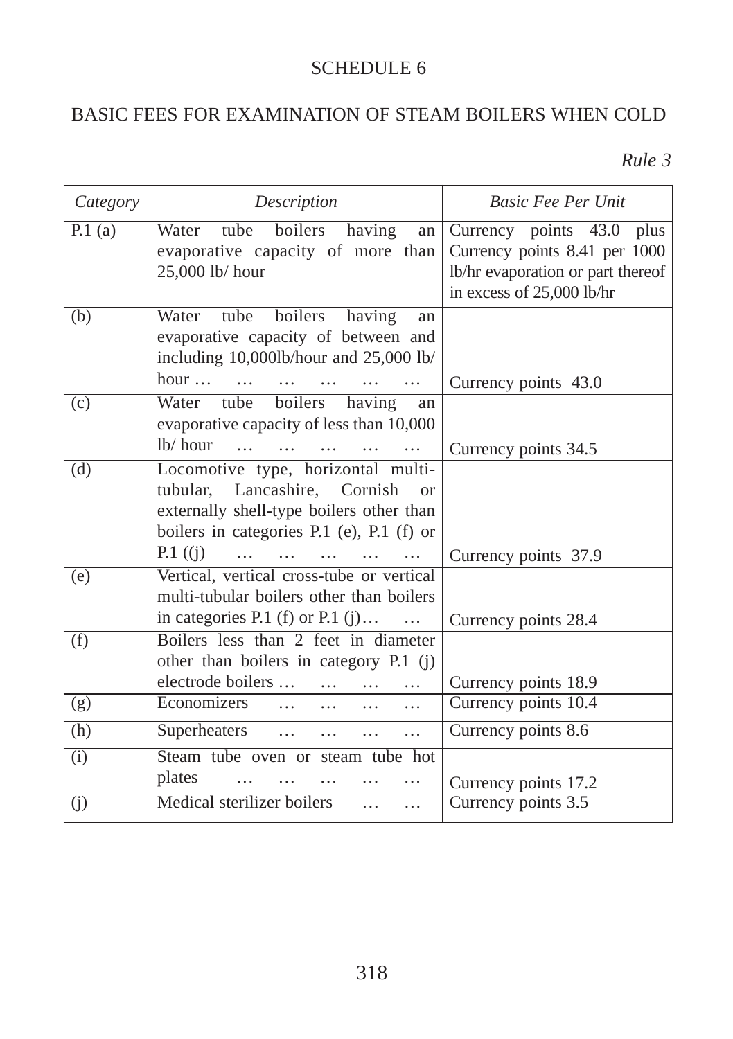#### BASIC FEES FOR EXAMINATION OF STEAM BOILERS WHEN COLD

| Category       | Description                                                                           | <b>Basic Fee Per Unit</b>         |
|----------------|---------------------------------------------------------------------------------------|-----------------------------------|
| P.1(a)         | Water tube boilers having<br>an                                                       | Currency points 43.0 plus         |
|                | evaporative capacity of more than                                                     | Currency points 8.41 per 1000     |
|                | 25,000 lb/ hour                                                                       | lb/hr evaporation or part thereof |
|                |                                                                                       | in excess of 25,000 lb/hr         |
| (b)            | Water tube boilers having<br>an                                                       |                                   |
|                | evaporative capacity of between and                                                   |                                   |
|                | including 10,000lb/hour and 25,000 lb/                                                |                                   |
|                | hour $\dots$ $\dots$<br>$\ddotsc$                                                     | Currency points 43.0              |
| $\overline{c}$ | Water tube boilers having<br>an                                                       |                                   |
|                | evaporative capacity of less than 10,000                                              |                                   |
|                | $lb/$ hour $\ldots$ $\ldots$                                                          | Currency points 34.5              |
| (d)            | Locomotive type, horizontal multi-                                                    |                                   |
|                | tubular, Lancashire, Cornish<br>$\alpha$                                              |                                   |
|                | externally shell-type boilers other than<br>boilers in categories P.1 (e), P.1 (f) or |                                   |
|                | $P.1$ ((j)<br>$\mathbf{1}$<br>$\cdots$<br>$\cdots$<br>$\cdots$                        |                                   |
| (e)            | Vertical, vertical cross-tube or vertical                                             | Currency points 37.9              |
|                | multi-tubular boilers other than boilers                                              |                                   |
|                | in categories P.1 (f) or P.1 (j)                                                      | Currency points 28.4              |
| (f)            | Boilers less than 2 feet in diameter                                                  |                                   |
|                | other than boilers in category P.1 (j)                                                |                                   |
|                | electrode boilers<br>$\cdots$<br>$\cdots$                                             | Currency points 18.9              |
| (g)            | Economizers<br>$\cdots$<br>$\cdots$<br>$\cdots$                                       | Currency points 10.4              |
| (h)            | Superheaters<br>$\cdots$<br>$\cdots$<br>$\cdots$                                      | Currency points 8.6               |
| (i)            | Steam tube oven or steam tube hot                                                     |                                   |
|                | plates<br>$\cdots$                                                                    | Currency points 17.2              |
| (j)            | Medical sterilizer boilers<br>$\ddots$<br>$\cdots$                                    | Currency points 3.5               |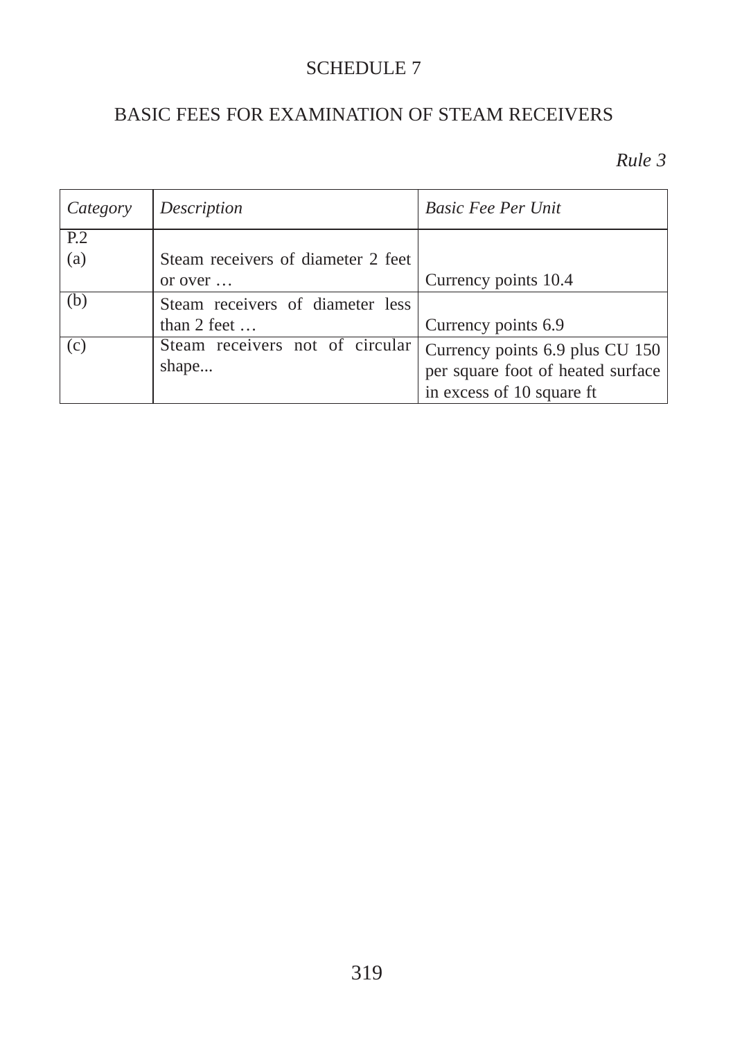#### BASIC FEES FOR EXAMINATION OF STEAM RECEIVERS

| Category       | Description                        | <b>Basic Fee Per Unit</b>         |
|----------------|------------------------------------|-----------------------------------|
| P <sub>2</sub> |                                    |                                   |
| (a)            | Steam receivers of diameter 2 feet |                                   |
|                | or over $\dots$                    | Currency points 10.4              |
| (b)            | Steam receivers of diameter less   |                                   |
|                | than $2$ feet $\dots$              | Currency points 6.9               |
| (c)            | Steam receivers not of circular    | Currency points 6.9 plus CU 150   |
|                | shape                              | per square foot of heated surface |
|                |                                    | in excess of 10 square ft         |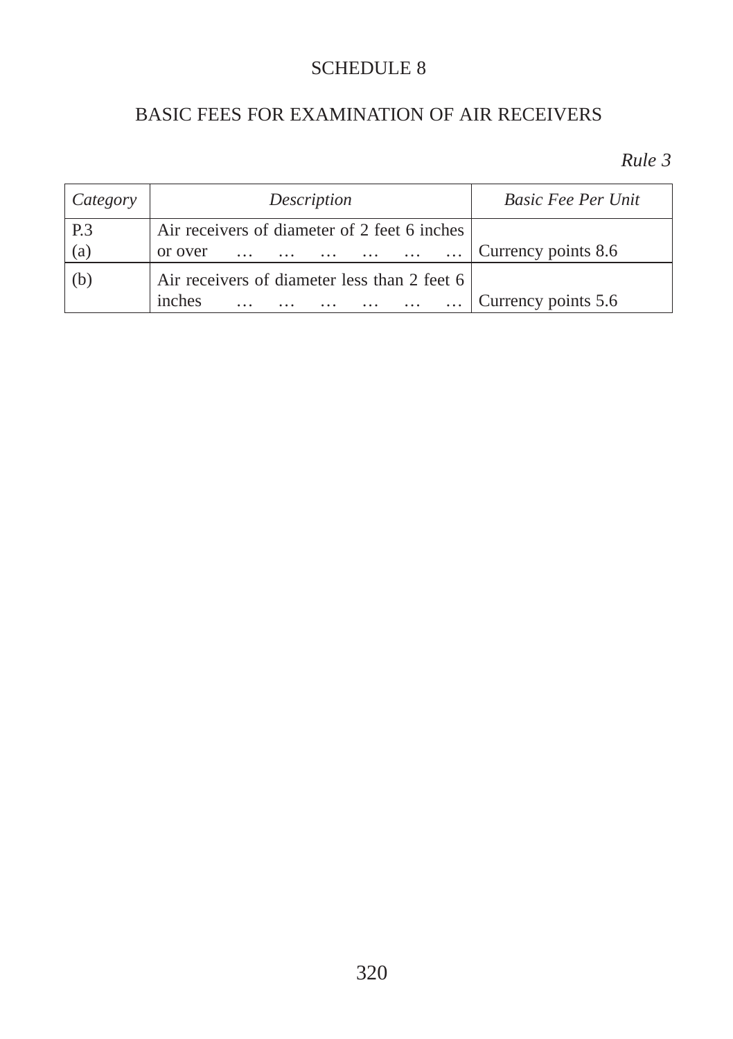#### BASIC FEES FOR EXAMINATION OF AIR RECEIVERS

| $\vert$ Category | Description                                  | <i>Basic Fee Per Unit</i> |
|------------------|----------------------------------------------|---------------------------|
| P.3              | Air receivers of diameter of 2 feet 6 inches |                           |
| (a)              | or over                                      | Currency points 8.6       |
| (b)              | Air receivers of diameter less than 2 feet 6 |                           |
|                  | inches<br>$\cdots$<br>$\cdots$               | Currency points 5.6       |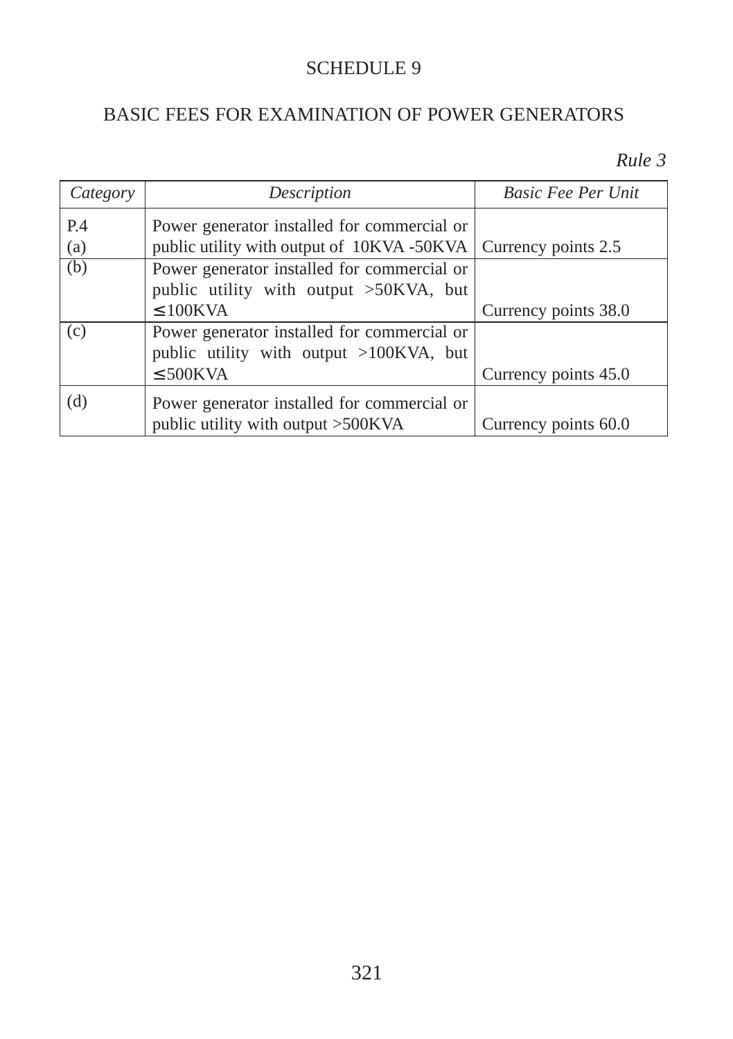#### BASIC FEES FOR EXAMINATION OF POWER GENERATORS

| Category   | Description                                                                                                   | <b>Basic Fee Per Unit</b> |
|------------|---------------------------------------------------------------------------------------------------------------|---------------------------|
| P.4<br>(a) | Power generator installed for commercial or<br>public utility with output of 10KVA -50KVA Currency points 2.5 |                           |
| (b)        | Power generator installed for commercial or<br>public utility with output >50KVA, but<br>$\leq 100$ KVA       | Currency points 38.0      |
| (c)        | Power generator installed for commercial or<br>public utility with output >100KVA, but<br>$\leq 500$ KVA      | Currency points 45.0      |
| (d)        | Power generator installed for commercial or<br>public utility with output >500KVA                             | Currency points 60.0      |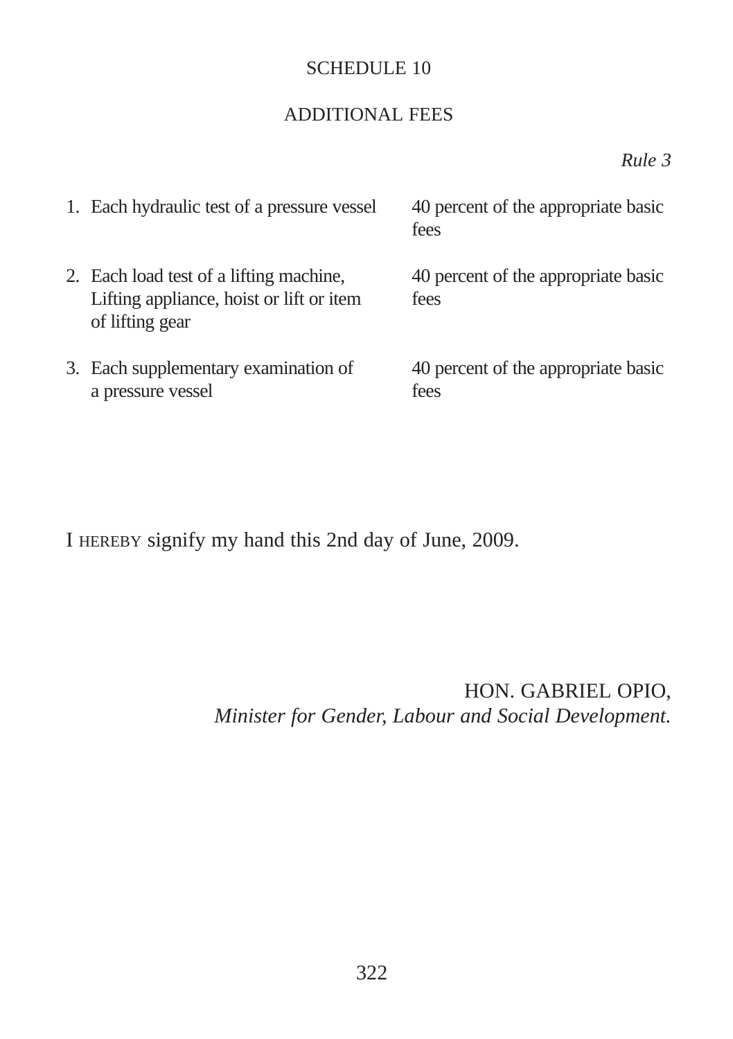#### ADDITIONAL FEES

*Rule 3*

| 1. Each hydraulic test of a pressure vessel                                                            | 40 percent of the appropriate basic<br>fees |
|--------------------------------------------------------------------------------------------------------|---------------------------------------------|
| 2. Each load test of a lifting machine,<br>Lifting appliance, hoist or lift or item<br>of lifting gear | 40 percent of the appropriate basic<br>fees |
| 3. Each supplementary examination of<br>a pressure vessel                                              | 40 percent of the appropriate basic<br>fees |

I HEREBY signify my hand this 2nd day of June, 2009.

HON. GABRIEL OPIO, *Minister for Gender, Labour and Social Development.*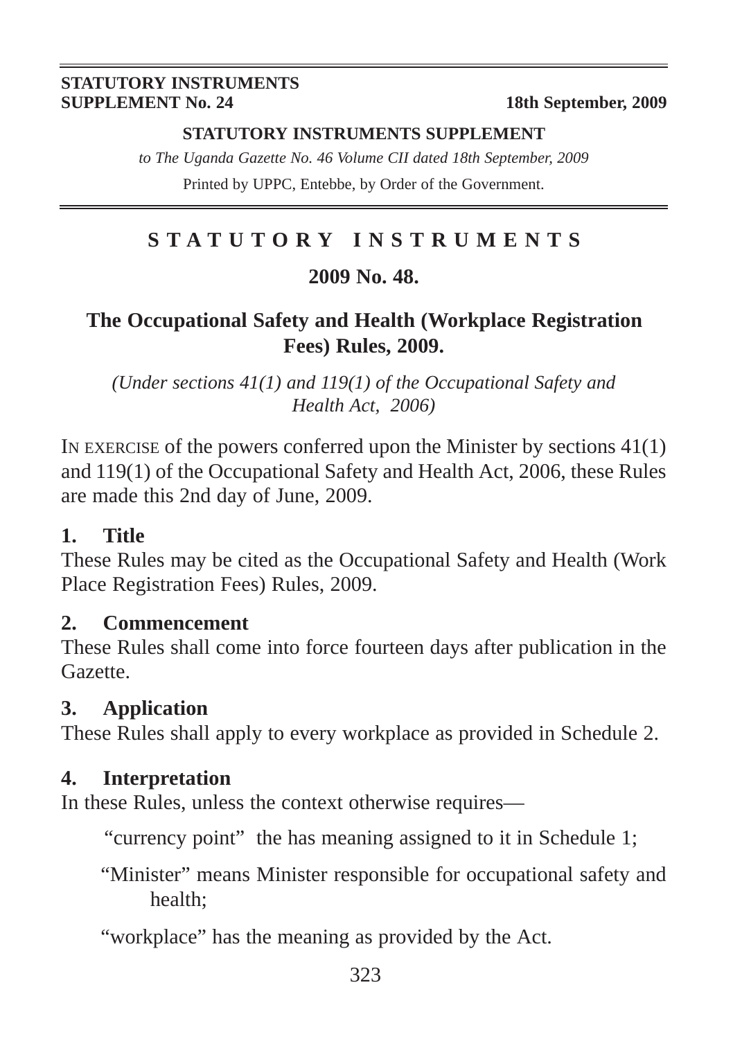#### **STATUTORY INSTRUMENTS SUPPLEMENT**

*to The Uganda Gazette No. 46 Volume CII dated 18th September, 2009* Printed by UPPC, Entebbe, by Order of the Government.

#### **STATUTORY INSTRUMENTS**

#### **2009 No. 48.**

#### **The Occupational Safety and Health (Workplace Registration Fees) Rules, 2009.**

*(Under sections 41(1) and 119(1) of the Occupational Safety and Health Act, 2006)*

IN EXERCISE of the powers conferred upon the Minister by sections  $41(1)$ and 119(1) of the Occupational Safety and Health Act, 2006, these Rules are made this 2nd day of June, 2009.

#### **1. Title**

These Rules may be cited as the Occupational Safety and Health (Work Place Registration Fees) Rules, 2009.

#### **2. Commencement**

These Rules shall come into force fourteen days after publication in the Gazette.

#### **3. Application**

These Rules shall apply to every workplace as provided in Schedule 2.

#### **4. Interpretation**

In these Rules, unless the context otherwise requires—

"currency point" the has meaning assigned to it in Schedule 1;

"Minister" means Minister responsible for occupational safety and health;

"workplace" has the meaning as provided by the Act.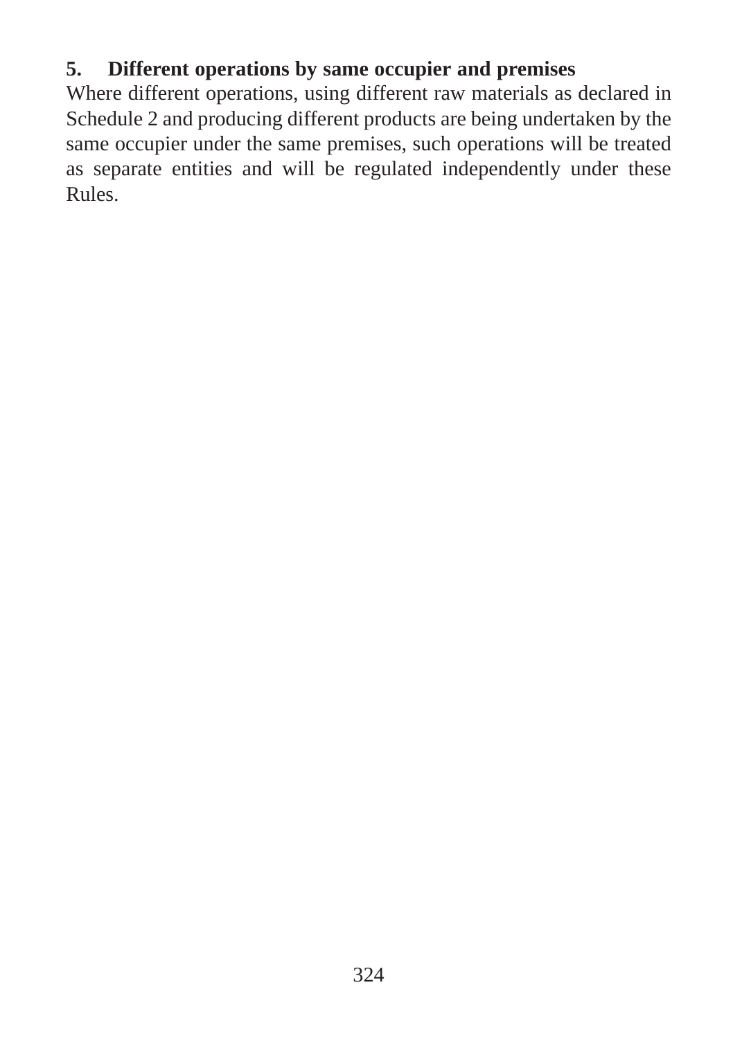#### **5. Different operations by same occupier and premises**

Where different operations, using different raw materials as declared in Schedule 2 and producing different products are being undertaken by the same occupier under the same premises, such operations will be treated as separate entities and will be regulated independently under these Rules.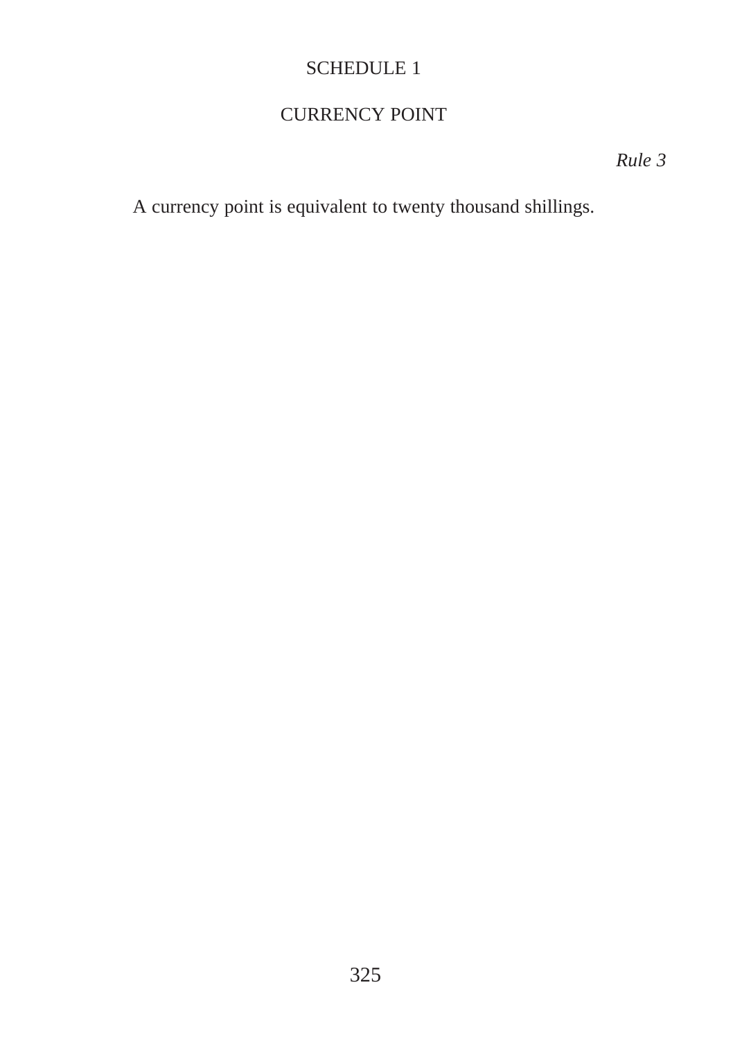#### CURRENCY POINT

*Rule 3*

A currency point is equivalent to twenty thousand shillings.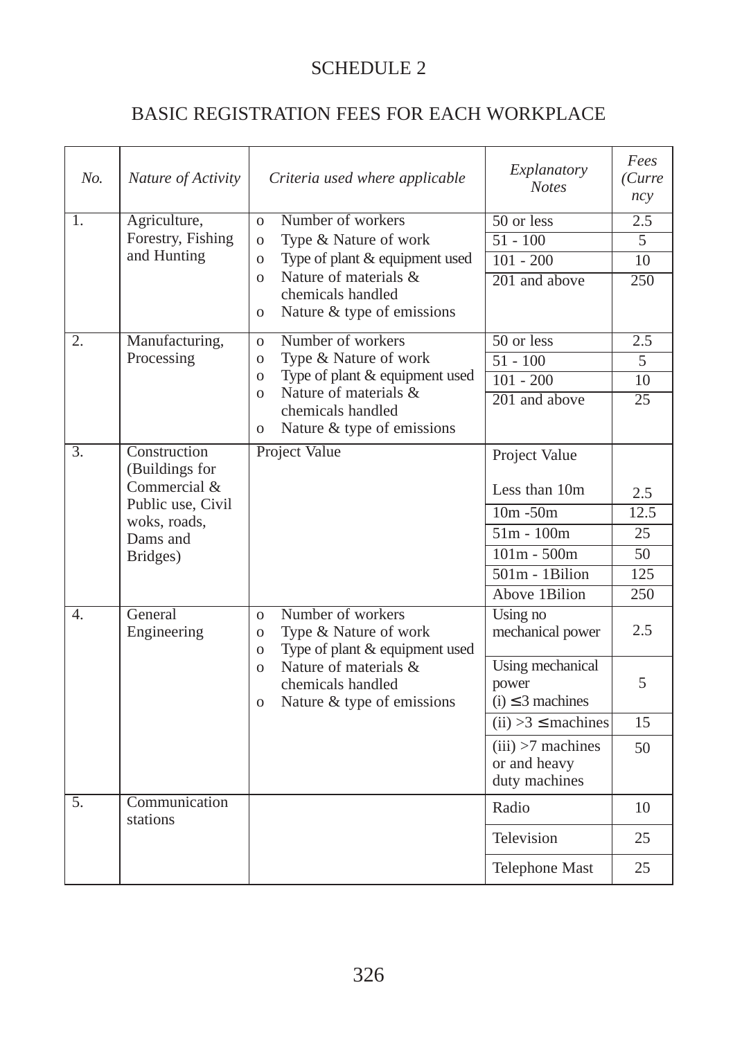#### BASIC REGISTRATION FEES FOR EACH WORKPLACE

| No.              | Nature of Activity                                                                                          | Criteria used where applicable                                                                                                                                                                                                         | Explanatory<br><b>Notes</b>                                                                                                 | Fees<br>(Curre<br>ncy                 |
|------------------|-------------------------------------------------------------------------------------------------------------|----------------------------------------------------------------------------------------------------------------------------------------------------------------------------------------------------------------------------------------|-----------------------------------------------------------------------------------------------------------------------------|---------------------------------------|
| 1.               | Agriculture,<br>Forestry, Fishing<br>and Hunting                                                            | Number of workers<br>$\Omega$<br>Type & Nature of work<br>$\overline{O}$<br>Type of plant & equipment used<br>$\overline{O}$<br>Nature of materials &<br>$\Omega$<br>chemicals handled<br>Nature & type of emissions<br>$\overline{O}$ | 50 or less<br>$51 - 100$<br>$101 - 200$<br>201 and above                                                                    | 2.5<br>$\overline{5}$<br>10<br>250    |
| 2.               | Manufacturing,<br>Processing                                                                                | Number of workers<br>$\Omega$<br>Type & Nature of work<br>$\Omega$<br>Type of plant & equipment used<br>$\overline{O}$<br>Nature of materials &<br>$\Omega$<br>chemicals handled<br>Nature & type of emissions<br>$\overline{O}$       | $50$ or less<br>$51 - 100$<br>$101 - 200$<br>201 and above                                                                  | 2.5<br>5<br>10<br>$\overline{25}$     |
| $\overline{3}$ . | Construction<br>(Buildings for<br>Commercial &<br>Public use, Civil<br>woks, roads,<br>Dams and<br>Bridges) | Project Value                                                                                                                                                                                                                          | Project Value<br>Less than 10m<br>$10m - 50m$<br>$51m - 100m$<br>$101m - 500m$<br>$501m - 1 \text{Bilion}$<br>Above 1Bilion | 2.5<br>12.5<br>25<br>50<br>125<br>250 |
| $\overline{4}$ . | General<br>Engineering                                                                                      | Number of workers<br>$\Omega$<br>Type & Nature of work<br>$\overline{O}$<br>Type of plant & equipment used<br>$\Omega$<br>Nature of materials &<br>$\overline{O}$<br>chemicals handled<br>Nature & type of emissions<br>$\mathbf{O}$   | Using no<br>mechanical power<br>Using mechanical<br>power<br>$(i) \leq 3$ machines                                          | 2.5<br>5                              |
|                  |                                                                                                             |                                                                                                                                                                                                                                        | $(ii) >3 \leq$ machines<br>$(iii) > 7$ machines<br>or and heavy<br>duty machines                                            | 15<br>50                              |
| 5.               | Communication<br>stations                                                                                   |                                                                                                                                                                                                                                        | Radio<br>Television                                                                                                         | 10<br>25                              |
|                  |                                                                                                             |                                                                                                                                                                                                                                        | Telephone Mast                                                                                                              | 25                                    |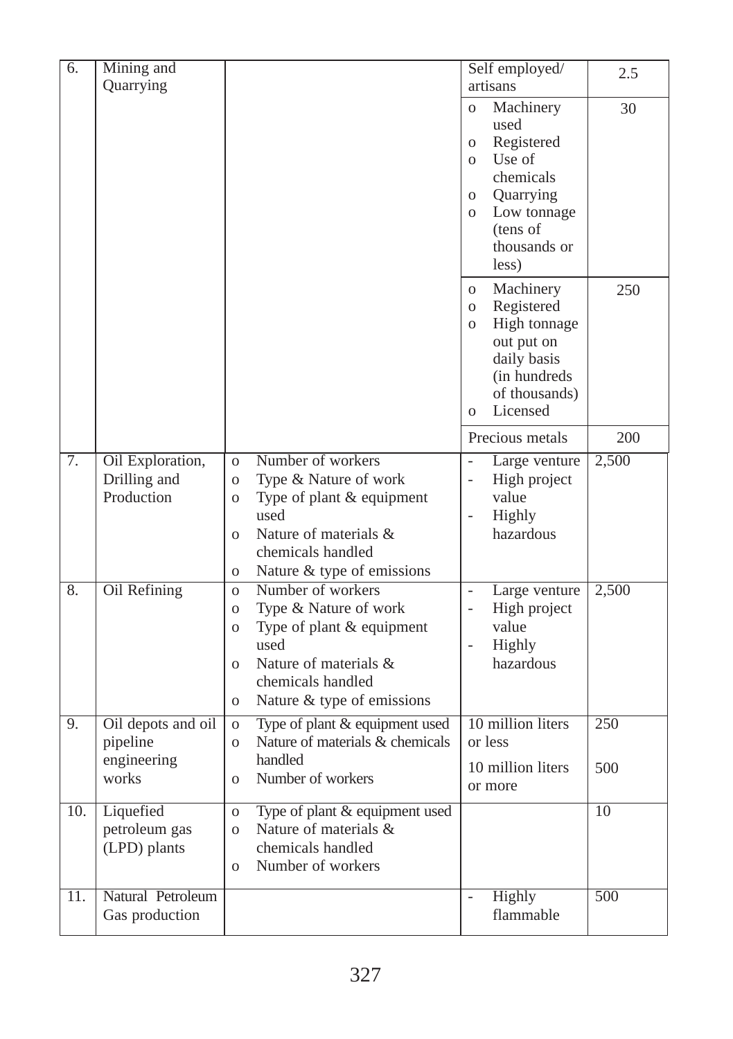| 6.  | Mining and         |                                                              | Self employed/                                            | 2.5   |
|-----|--------------------|--------------------------------------------------------------|-----------------------------------------------------------|-------|
|     | Quarrying          |                                                              | artisans                                                  |       |
|     |                    |                                                              | Machinery<br>$\overline{O}$                               | 30    |
|     |                    |                                                              | used<br>Registered<br>$\mathbf{O}$                        |       |
|     |                    |                                                              | Use of<br>$\Omega$                                        |       |
|     |                    |                                                              | chemicals                                                 |       |
|     |                    |                                                              | Quarrying<br>$\overline{O}$                               |       |
|     |                    |                                                              | Low tonnage<br>$\overline{O}$                             |       |
|     |                    |                                                              | (tens of<br>thousands or                                  |       |
|     |                    |                                                              | less)                                                     |       |
|     |                    |                                                              |                                                           |       |
|     |                    |                                                              | Machinery<br>$\mathbf{O}$<br>Registered<br>$\overline{O}$ | 250   |
|     |                    |                                                              | High tonnage<br>$\overline{O}$                            |       |
|     |                    |                                                              | out put on                                                |       |
|     |                    |                                                              | daily basis                                               |       |
|     |                    |                                                              | (in hundreds)<br>of thousands)                            |       |
|     |                    |                                                              | Licensed<br>$\mathbf{o}$                                  |       |
|     |                    |                                                              | Precious metals                                           | 200   |
| 7.  | Oil Exploration,   | Number of workers<br>$\Omega$                                | Large venture<br>$\overline{\phantom{0}}$                 | 2,500 |
|     | Drilling and       | Type & Nature of work<br>$\overline{O}$                      | High project<br>$\overline{a}$                            |       |
|     | Production         | Type of plant & equipment<br>$\overline{O}$                  | value                                                     |       |
|     |                    | used<br>Nature of materials &                                | Highly<br>$\overline{a}$<br>hazardous                     |       |
|     |                    | $\Omega$<br>chemicals handled                                |                                                           |       |
|     |                    | Nature & type of emissions<br>$\overline{O}$                 |                                                           |       |
| 8.  | Oil Refining       | Number of workers<br>$\Omega$                                | Large venture<br>$\overline{\phantom{0}}$                 | 2,500 |
|     |                    | Type & Nature of work<br>$\mathbf O$                         | High project<br>$\overline{a}$                            |       |
|     |                    | Type of plant & equipment<br>$\overline{O}$                  | value                                                     |       |
|     |                    | used                                                         | Highly<br>$\overline{a}$                                  |       |
|     |                    | Nature of materials &<br>$\overline{O}$<br>chemicals handled | hazardous                                                 |       |
|     |                    | Nature & type of emissions<br>$\overline{O}$                 |                                                           |       |
| 9.  | Oil depots and oil | Type of plant & equipment used<br>$\mathbf O$                | 10 million liters                                         | 250   |
|     | pipeline           | Nature of materials & chemicals<br>$\mathbf{o}$              | or less                                                   |       |
|     | engineering        | handled                                                      | 10 million liters                                         | 500   |
|     | works              | Number of workers<br>$\overline{O}$                          | or more                                                   |       |
| 10. | Liquefied          | Type of plant & equipment used<br>$\mathbf{O}$               |                                                           | 10    |
|     | petroleum gas      | Nature of materials &<br>$\Omega$                            |                                                           |       |
|     | (LPD) plants       | chemicals handled                                            |                                                           |       |
|     |                    | Number of workers<br>$\overline{O}$                          |                                                           |       |
| 11. | Natural Petroleum  |                                                              | <b>Highly</b>                                             | 500   |
|     | Gas production     |                                                              | flammable                                                 |       |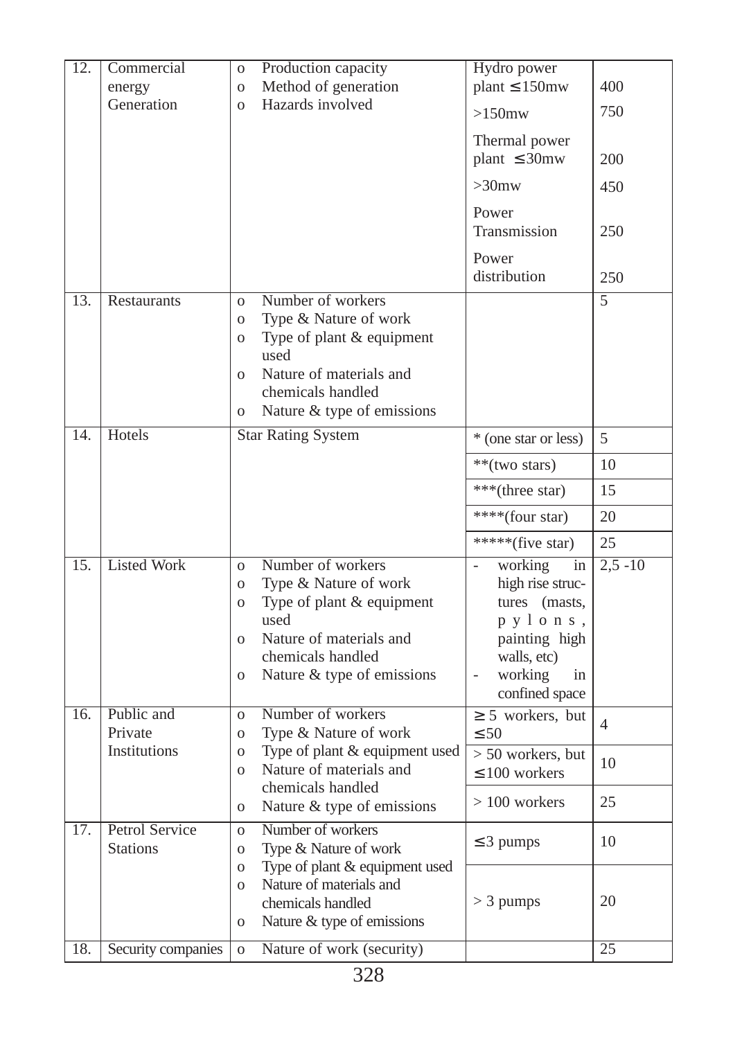| 12.               | Commercial<br>energy              | Production capacity<br>$\overline{O}$<br>Method of generation<br>$\mathbf{O}$                                                                                                                                                                     | Hydro power<br>plant $\leq 150$ mw                                                                                                                           | 400             |
|-------------------|-----------------------------------|---------------------------------------------------------------------------------------------------------------------------------------------------------------------------------------------------------------------------------------------------|--------------------------------------------------------------------------------------------------------------------------------------------------------------|-----------------|
|                   | Generation                        | Hazards involved<br>$\overline{O}$                                                                                                                                                                                                                | $>150$ mw                                                                                                                                                    | 750             |
|                   |                                   |                                                                                                                                                                                                                                                   | Thermal power<br>plant $\leq$ 30mw                                                                                                                           | 200             |
|                   |                                   |                                                                                                                                                                                                                                                   | $>30$ mw                                                                                                                                                     | 450             |
|                   |                                   |                                                                                                                                                                                                                                                   | Power<br>Transmission                                                                                                                                        | 250             |
|                   |                                   |                                                                                                                                                                                                                                                   | Power<br>distribution                                                                                                                                        | 250             |
| $\overline{13}$ . | Restaurants                       | Number of workers<br>$\Omega$<br>Type & Nature of work<br>$\mathbf{O}$<br>Type of plant & equipment<br>$\overline{O}$<br>used<br>Nature of materials and<br>$\overline{O}$<br>chemicals handled<br>Nature & type of emissions<br>$\overline{O}$   |                                                                                                                                                              | $\overline{5}$  |
| $\overline{14}$ . | Hotels                            | <b>Star Rating System</b>                                                                                                                                                                                                                         | * (one star or less)                                                                                                                                         | 5               |
|                   |                                   |                                                                                                                                                                                                                                                   | **(two stars)                                                                                                                                                | 10              |
|                   |                                   |                                                                                                                                                                                                                                                   | ***(three star)                                                                                                                                              | 15              |
|                   |                                   |                                                                                                                                                                                                                                                   | ****(four star)                                                                                                                                              | 20              |
|                   |                                   |                                                                                                                                                                                                                                                   | *****(five star)                                                                                                                                             | 25              |
| 15.               | <b>Listed Work</b>                | Number of workers<br>$\overline{O}$<br>Type & Nature of work<br>$\overline{O}$<br>Type of plant & equipment<br>$\overline{O}$<br>used<br>Nature of materials and<br>$\Omega$<br>chemicals handled<br>Nature & type of emissions<br>$\overline{O}$ | working<br>in<br>high rise struc-<br>tures (masts,<br>pylons,<br>painting high<br>walls, etc)<br>working<br>in<br>$\overline{\phantom{a}}$<br>confined space | $2,5 - 10$      |
| $\overline{16}$ . | Public and<br>Private             | Number of workers<br>$\overline{O}$<br>Type & Nature of work<br>$\overline{O}$                                                                                                                                                                    | $\geq$ 5 workers, but<br>$\leq 50$                                                                                                                           | $\overline{4}$  |
|                   | Institutions                      | Type of plant & equipment used<br>$\overline{O}$<br>Nature of materials and<br>$\overline{O}$<br>chemicals handled                                                                                                                                | $> 50$ workers, but<br>$\leq 100$ workers                                                                                                                    | 10              |
|                   |                                   | Nature & type of emissions<br>$\overline{O}$                                                                                                                                                                                                      | $>100$ workers                                                                                                                                               | 25              |
| 17.               | Petrol Service<br><b>Stations</b> | Number of workers<br>$\overline{O}$<br>Type & Nature of work<br>$\overline{O}$                                                                                                                                                                    | $\leq$ 3 pumps                                                                                                                                               | 10              |
|                   |                                   | Type of plant & equipment used<br>$\overline{O}$<br>Nature of materials and<br>$\overline{O}$<br>chemicals handled<br>Nature & type of emissions<br>$\overline{O}$                                                                                | $>$ 3 pumps                                                                                                                                                  | 20              |
| 18.               | Security companies                | Nature of work (security)<br>$\mathbf{O}$                                                                                                                                                                                                         |                                                                                                                                                              | $\overline{25}$ |